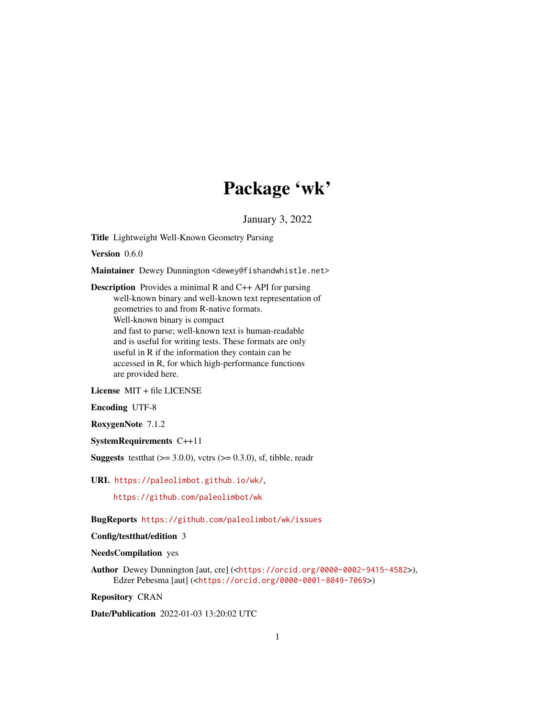# Package 'wk'

January 3, 2022

<span id="page-0-0"></span>Title Lightweight Well-Known Geometry Parsing

Version 0.6.0

Maintainer Dewey Dunnington <dewey@fishandwhistle.net>

Description Provides a minimal R and C++ API for parsing well-known binary and well-known text representation of geometries to and from R-native formats. Well-known binary is compact and fast to parse; well-known text is human-readable and is useful for writing tests. These formats are only useful in R if the information they contain can be accessed in R, for which high-performance functions are provided here.

License MIT + file LICENSE

Encoding UTF-8

RoxygenNote 7.1.2

SystemRequirements C++11

**Suggests** test that  $(>= 3.0.0)$ , vctrs  $(>= 0.3.0)$ , sf, tibble, readr

URL <https://paleolimbot.github.io/wk/>,

<https://github.com/paleolimbot/wk>

BugReports <https://github.com/paleolimbot/wk/issues>

Config/testthat/edition 3

NeedsCompilation yes

Author Dewey Dunnington [aut, cre] (<<https://orcid.org/0000-0002-9415-4582>>), Edzer Pebesma [aut] (<<https://orcid.org/0000-0001-8049-7069>>)

Repository CRAN

Date/Publication 2022-01-03 13:20:02 UTC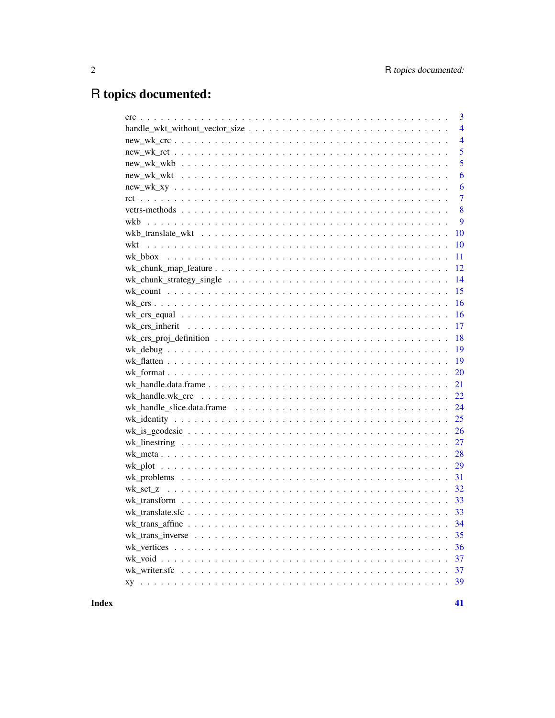# R topics documented:

| 3              |
|----------------|
| $\overline{4}$ |
| $\overline{4}$ |
| 5              |
| 5              |
| 6              |
| 6              |
| $\overline{7}$ |
| 8              |
| 9              |
| 10             |
| 10             |
| 11             |
| 12             |
| 14             |
| 15             |
| 16             |
| 16             |
| 17             |
| 18             |
| 19             |
| 19             |
| 20             |
| 21             |
| 22             |
| 24             |
| 25             |
| 26             |
| 27             |
| 28             |
| 29             |
| 31             |
|                |
|                |
|                |
| 34             |
| 35             |
| 36             |
| 37             |
| 37             |
| 39             |
|                |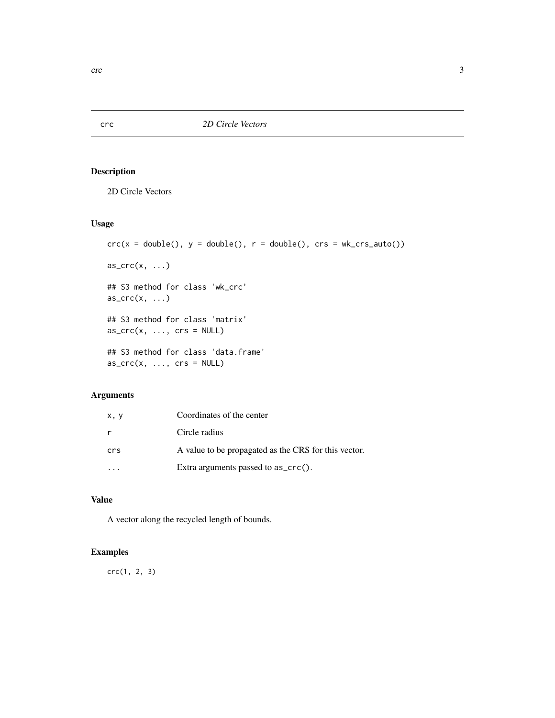<span id="page-2-1"></span><span id="page-2-0"></span>crc *2D Circle Vectors*

## Description

2D Circle Vectors

# Usage

```
crc(x = double(), y = double(), r = double(), crs = wk_crs_auto())as\_crc(x, \ldots)## S3 method for class 'wk_crc'
as\_crc(x, \ldots)## S3 method for class 'matrix'
as\_crc(x, ..., crs = NULL)## S3 method for class 'data.frame'
as\_crc(x, ..., crs = NULL)
```
## Arguments

| x, y | Coordinates of the center                            |
|------|------------------------------------------------------|
| r    | Circle radius                                        |
| crs  | A value to be propagated as the CRS for this vector. |
|      | Extra arguments passed to $as\_crc()$ .              |

## Value

A vector along the recycled length of bounds.

## Examples

crc(1, 2, 3)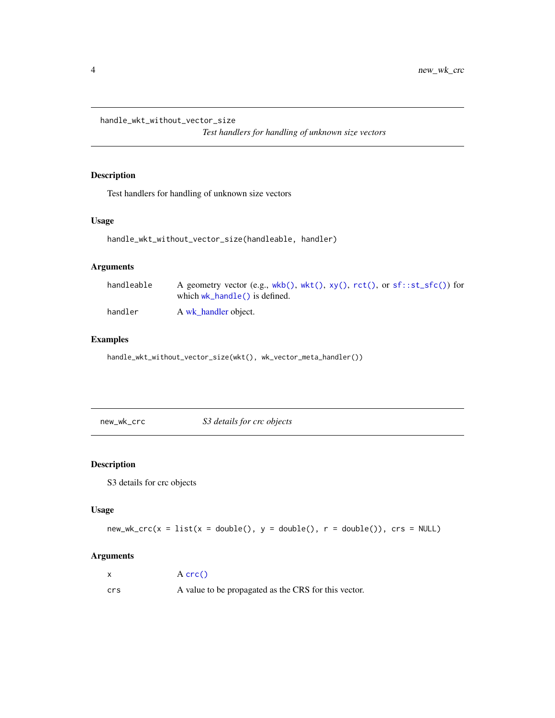<span id="page-3-0"></span>handle\_wkt\_without\_vector\_size

*Test handlers for handling of unknown size vectors*

# Description

Test handlers for handling of unknown size vectors

#### Usage

```
handle_wkt_without_vector_size(handleable, handler)
```
## Arguments

| handleable | A geometry vector (e.g., $wkb()$ , $wkt()$ , $xy()$ , $rct()$ , or $sf::st\_sfc()$ ) for<br>which $wk$ handle() is defined. |
|------------|-----------------------------------------------------------------------------------------------------------------------------|
| handler    | A wk handler object.                                                                                                        |

## Examples

handle\_wkt\_without\_vector\_size(wkt(), wk\_vector\_meta\_handler())

new\_wk\_crc *S3 details for crc objects*

# Description

S3 details for crc objects

#### Usage

```
new_wk_crc(x = list(x = double(), y = double(), r = double()); crs = NULL)
```

|     | $A$ crc $()$                                         |
|-----|------------------------------------------------------|
| crs | A value to be propagated as the CRS for this vector. |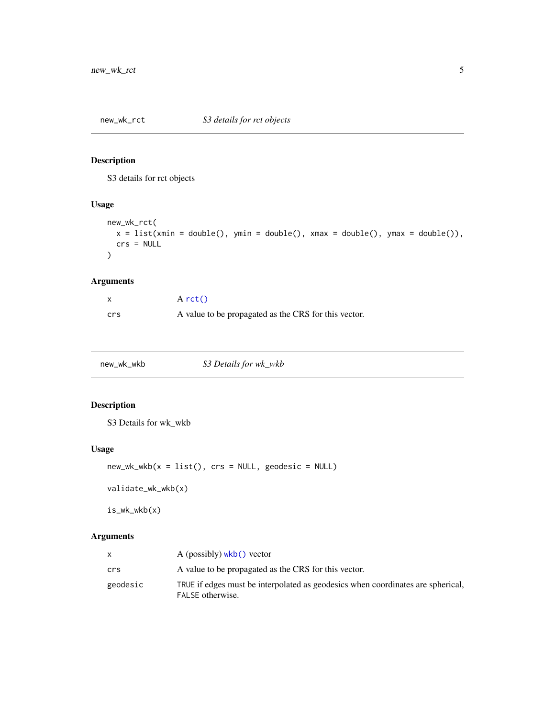<span id="page-4-0"></span>

S3 details for rct objects

# Usage

```
new_wk_rct(
  x = list(xmin = double(), ymin = double(), xmax = double(), ymax = double(),crs = NULL
\mathcal{E}
```
# Arguments

|     | $A$ rct()                                            |
|-----|------------------------------------------------------|
| crs | A value to be propagated as the CRS for this vector. |

<span id="page-4-1"></span>

| new_wk_wkb | S3 Details for wk_wkb |
|------------|-----------------------|
|------------|-----------------------|

# Description

S3 Details for wk\_wkb

## Usage

```
new_wk_wkb(x = list(), crs = NULL, geodesic = NULL)
```
validate\_wk\_wkb(x)

is\_wk\_wkb(x)

|          | $A$ (possibly) wkb() vector                                                                         |
|----------|-----------------------------------------------------------------------------------------------------|
| crs      | A value to be propagated as the CRS for this vector.                                                |
| geodesic | TRUE if edges must be interpolated as geodesics when coordinates are spherical.<br>FALSE otherwise. |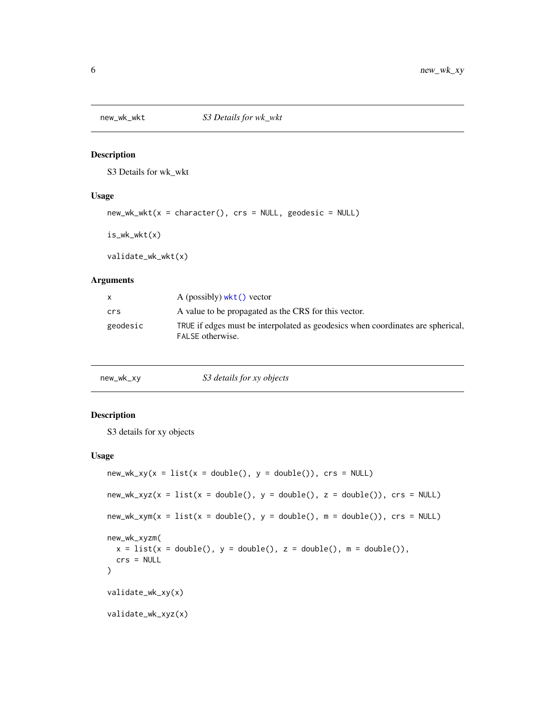<span id="page-5-1"></span><span id="page-5-0"></span>

S3 Details for wk\_wkt

#### Usage

```
new_wk_wkt(x = character(), crs = NULL, geodesic = NULL)
```
is\_wk\_wkt(x)

validate\_wk\_wkt(x)

#### Arguments

|          | A (possibly) $wkt()$ vector                                                                         |
|----------|-----------------------------------------------------------------------------------------------------|
| crs      | A value to be propagated as the CRS for this vector.                                                |
| geodesic | TRUE if edges must be interpolated as geodesics when coordinates are spherical,<br>FALSE otherwise. |

#### Description

S3 details for xy objects

#### Usage

```
new_wk_xy(x = list(x = double(), y = double()); crs = NULL)
new_wk_xyz(x = list(x = double(), y = double(), z = double()); crs = NULL)
new_wk_xym(x = list(x = double(), y = double(), m = double());, crs = NULL)new_wk_xyzm(
 x = list(x = double(), y = double(), z = double(), m = double(),crs = NULL
\lambdavalidate_wk_xy(x)
validate_wk_xyz(x)
```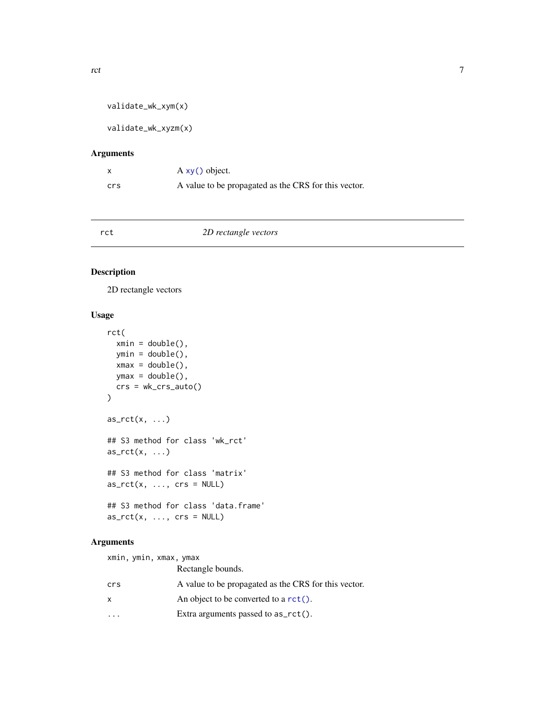```
validate_wk_xym(x)
```
validate\_wk\_xyzm(x)

## Arguments

|     | A xy() object.                                       |
|-----|------------------------------------------------------|
| crs | A value to be propagated as the CRS for this vector. |

<span id="page-6-1"></span>

## Description

2D rectangle vectors

# Usage

```
rct(
  xmin = double(),ymin = double(),
  xmax = double(),
  ymax = double(),crs = wk_crs_auto()\mathcal{E}as_rct(x, \ldots)## S3 method for class 'wk_rct'
as_rct(x, \ldots)## S3 method for class 'matrix'
as_rct(x, ..., crs = NULL)## S3 method for class 'data.frame'
as_rct(x, ..., crs = NULL)
```

| xmin, ymin, xmax, ymax |                                                      |
|------------------------|------------------------------------------------------|
|                        | Rectangle bounds.                                    |
| crs                    | A value to be propagated as the CRS for this vector. |
| X                      | An object to be converted to a $rct()$ .             |
|                        | Extra arguments passed to $as_rct()$ .               |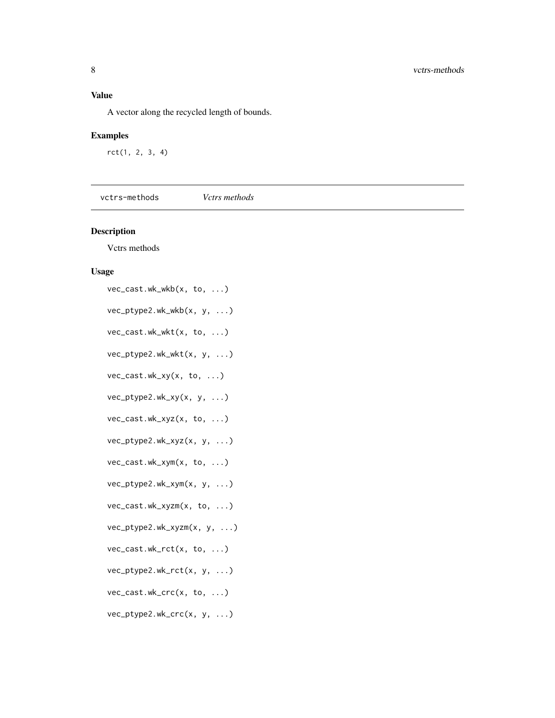# <span id="page-7-0"></span>Value

A vector along the recycled length of bounds.

## Examples

rct(1, 2, 3, 4)

vctrs-methods *Vctrs methods*

# Description

Vctrs methods

#### Usage

```
vec_cast.wk_wkb(x, to, ...)
vec_ptype2.wk_wkb(x, y, ...)
vec_cast.wk_wkt(x, to, ...)
vec_ptype2.wk_wkt(x, y, ...)
vec_cast.wk_xy(x, to, ...)
vec_ptype2.wk_xy(x, y, ...)
vec_cast.wk_xyz(x, to, ...)
vec_ptype2.wk_xyz(x, y, ...)
vec_cast.wk_xym(x, to, ...)
vec_ptype2.wk_xym(x, y, ...)
vec_cast.wk_xyzm(x, to, ...)
vec_ptype2.wk_xyzm(x, y, ...)
vec_cast.wk_rct(x, to, ...)
vec_ptype2.wk_rct(x, y, ...)
vec_cast.wk_crc(x, to, ...)
vec_ptype2.wk_crc(x, y, ...)
```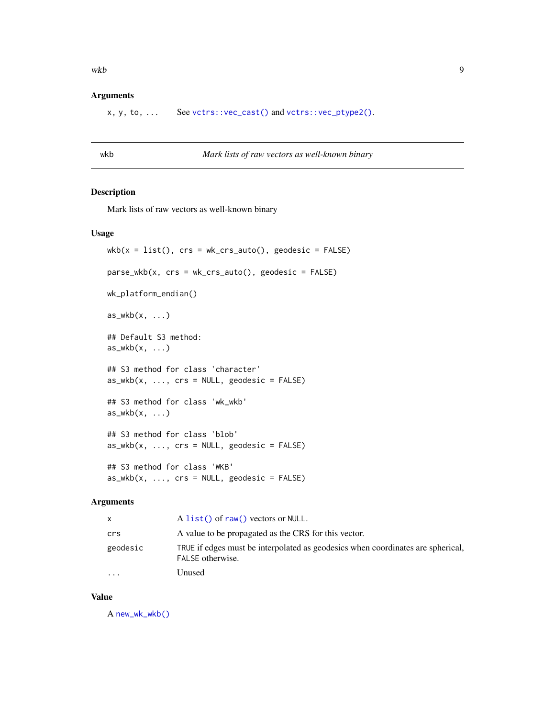#### <span id="page-8-0"></span> $wkb$  9

#### Arguments

x, y, to, ... See [vctrs::vec\\_cast\(\)](#page-0-0) and [vctrs::vec\\_ptype2\(\)](#page-0-0).

#### <span id="page-8-1"></span>wkb *Mark lists of raw vectors as well-known binary*

#### Description

Mark lists of raw vectors as well-known binary

#### Usage

```
wkb(x = list(), crs = wk_ccrs_auto(), geodesic = FALSE)parse_wkb(x, crs = wk_ccrs_auto(), geodesic = FALSE)wk_platform_endian()
as_wkb(x, \ldots)## Default S3 method:
as_wkb(x, \ldots)## S3 method for class 'character'
as_wkb(x, ..., crs = NULL, geodesic = FALSE)## S3 method for class 'wk_wkb'
as_wkb(x, \ldots)## S3 method for class 'blob'
as_wkb(x, ..., crs = NULL, geodesic = FALSE)## S3 method for class 'WKB'
as_wkb(x, ..., crs = NULL, geodesic = FALSE)
```
#### Arguments

| x.        | A list() of raw() vectors or NULL.                                                                  |
|-----------|-----------------------------------------------------------------------------------------------------|
| crs       | A value to be propagated as the CRS for this vector.                                                |
| geodesic  | TRUE if edges must be interpolated as geodesics when coordinates are spherical,<br>FALSE otherwise. |
| $\ddotsc$ | Unused                                                                                              |

#### Value

A [new\\_wk\\_wkb\(\)](#page-4-1)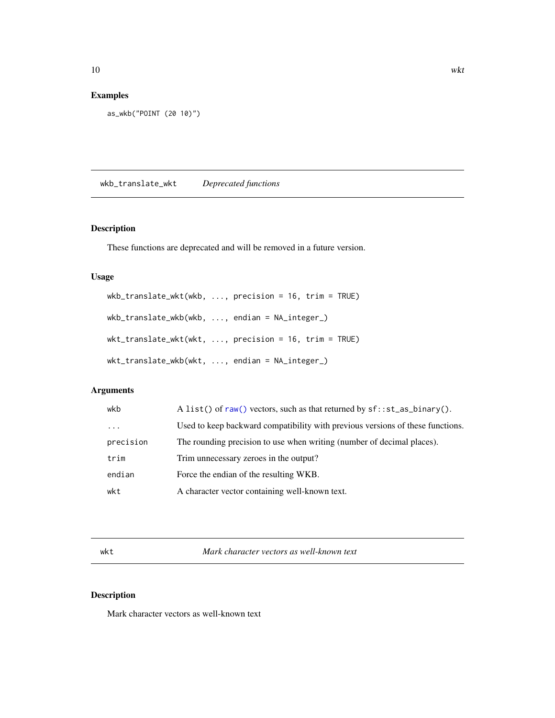# <span id="page-9-0"></span>Examples

```
as_wkb("POINT (20 10)")
```
wkb\_translate\_wkt *Deprecated functions*

# Description

These functions are deprecated and will be removed in a future version.

#### Usage

```
wkb_translate_wkt(wkb, ..., precision = 16, trim = TRUE)
wkb_translate_wkb(wkb, ..., endian = NA_integer_)
wkt_translate_wkt(wkt, ..., precision = 16, trim = TRUE)
wkt_translate_wkb(wkt, ..., endian = NA_integer_)
```
# Arguments

| wkb       | A list() of raw() vectors, such as that returned by $sf::st_as\_binary()$ .    |  |
|-----------|--------------------------------------------------------------------------------|--|
| $\ddots$  | Used to keep backward compatibility with previous versions of these functions. |  |
| precision | The rounding precision to use when writing (number of decimal places).         |  |
| trim      | Trim unnecessary zeroes in the output?                                         |  |
| endian    | Force the endian of the resulting WKB.                                         |  |
| wkt       | A character vector containing well-known text.                                 |  |
|           |                                                                                |  |

<span id="page-9-1"></span>wkt *Mark character vectors as well-known text*

## Description

Mark character vectors as well-known text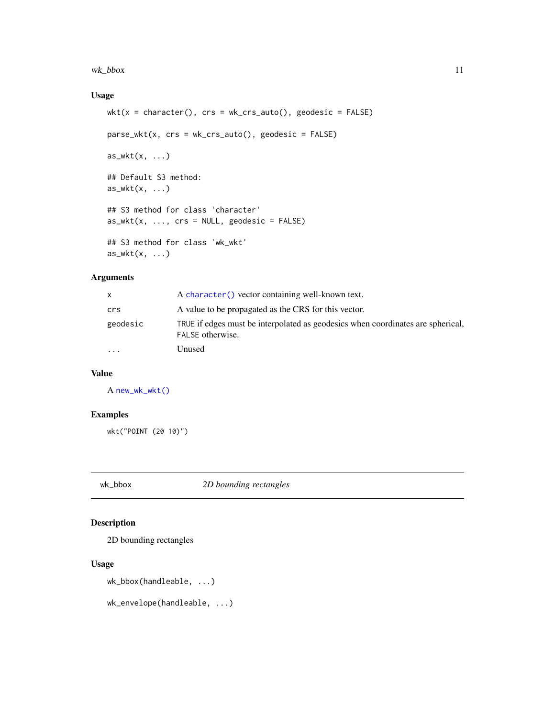#### <span id="page-10-0"></span>wk\_bbox 11

## Usage

```
wkt(x = character(), crs = wk_crs_auto(), geodesic = FALSE)parse_wkt(x, crs = wk_crs_auto(), geodesic = FALSE)
as_wkt(x, \ldots)## Default S3 method:
as_wkt(x, \ldots)## S3 method for class 'character'
as_wkt(x, ..., crs = NULL, geodesic = FALSE)## S3 method for class 'wk_wkt'
as_wkt(x, \ldots)
```
## Arguments

| X        | A character () vector containing well-known text.                                                   |
|----------|-----------------------------------------------------------------------------------------------------|
| crs      | A value to be propagated as the CRS for this vector.                                                |
| geodesic | TRUE if edges must be interpolated as geodesics when coordinates are spherical,<br>FALSE otherwise. |
| $\cdots$ | Unused                                                                                              |
|          |                                                                                                     |

## Value

A [new\\_wk\\_wkt\(\)](#page-5-1)

## Examples

```
wkt("POINT (20 10)")
```
wk\_bbox *2D bounding rectangles*

## Description

2D bounding rectangles

#### Usage

```
wk_bbox(handleable, ...)
```
wk\_envelope(handleable, ...)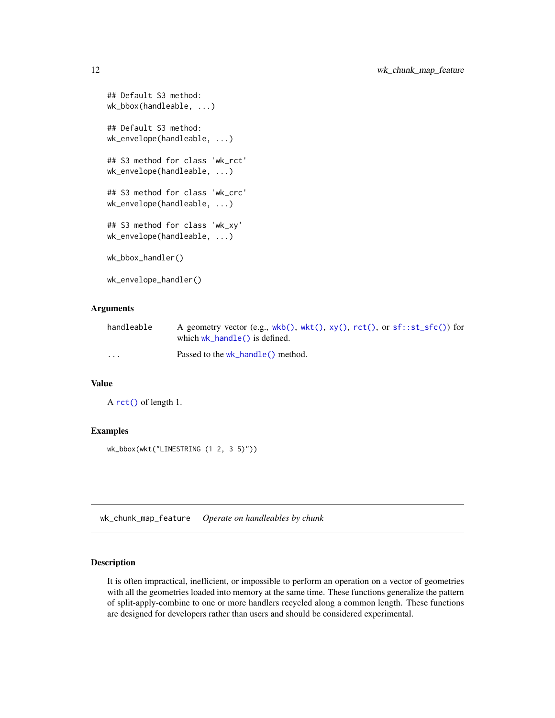```
## Default S3 method:
wk_bbox(handleable, ...)
## Default S3 method:
wk_envelope(handleable, ...)
## S3 method for class 'wk_rct'
wk_envelope(handleable, ...)
## S3 method for class 'wk_crc'
wk_envelope(handleable, ...)
## S3 method for class 'wk_xy'
wk_envelope(handleable, ...)
wk_bbox_handler()
wk_envelope_handler()
```
## Arguments

| handleable | A geometry vector (e.g., wkb(), wkt(), $xy($ ), $rct()$ , or $sf::st\_sfc()$ for |
|------------|----------------------------------------------------------------------------------|
|            | which $wk$ handle() is defined.                                                  |
| $\cdots$   | Passed to the wk_handle() method.                                                |

#### Value

A [rct\(\)](#page-6-1) of length 1.

#### Examples

wk\_bbox(wkt("LINESTRING (1 2, 3 5)"))

<span id="page-11-1"></span>wk\_chunk\_map\_feature *Operate on handleables by chunk*

#### Description

It is often impractical, inefficient, or impossible to perform an operation on a vector of geometries with all the geometries loaded into memory at the same time. These functions generalize the pattern of split-apply-combine to one or more handlers recycled along a common length. These functions are designed for developers rather than users and should be considered experimental.

<span id="page-11-0"></span>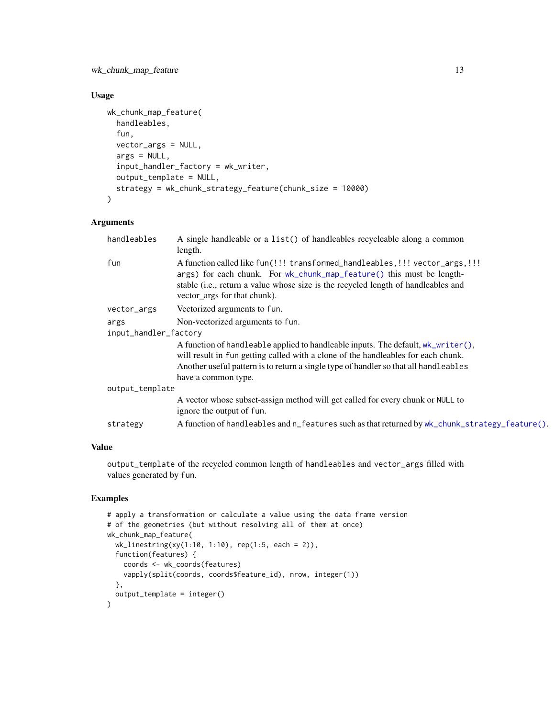<span id="page-12-0"></span>wk\_chunk\_map\_feature 13

## Usage

```
wk_chunk_map_feature(
  handleables,
  fun,
  vector_args = NULL,
  args = NULL,input_handler_factory = wk_writer,
  output_template = NULL,
  strategy = wk_chunk_strategy_feature(chunk_size = 10000)
)
```
#### Arguments

| handleables           | A single handleable or a list() of handleables recycleable along a common<br>length.                                                                                                                                                                                                     |  |
|-----------------------|------------------------------------------------------------------------------------------------------------------------------------------------------------------------------------------------------------------------------------------------------------------------------------------|--|
| fun                   | A function called like fun(!!! transformed_handleables,!!! vector_args,!!!<br>args) for each chunk. For wk_chunk_map_feature() this must be length-<br>stable (i.e., return a value whose size is the recycled length of handleables and<br>vector_args for that chunk).                 |  |
| vector_args           | Vectorized arguments to fun.                                                                                                                                                                                                                                                             |  |
| args                  | Non-vectorized arguments to fun.                                                                                                                                                                                                                                                         |  |
| input_handler_factory |                                                                                                                                                                                                                                                                                          |  |
|                       | A function of handleable applied to handleable inputs. The default, $wk\_writer()$ ,<br>will result in fun getting called with a clone of the handleables for each chunk.<br>Another useful pattern is to return a single type of handler so that all handleables<br>have a common type. |  |
| output_template       |                                                                                                                                                                                                                                                                                          |  |
|                       | A vector whose subset-assign method will get called for every chunk or NULL to<br>ignore the output of fun.                                                                                                                                                                              |  |
| strategy              | A function of handleables and n_features such as that returned by wk_chunk_strategy_feature().                                                                                                                                                                                           |  |
|                       |                                                                                                                                                                                                                                                                                          |  |

## Value

output\_template of the recycled common length of handleables and vector\_args filled with values generated by fun.

```
# apply a transformation or calculate a value using the data frame version
# of the geometries (but without resolving all of them at once)
wk_chunk_map_feature(
  wk_linestring(xy(1:10, 1:10), rep(1:5, each = 2)),
  function(features) {
   coords <- wk_coords(features)
   vapply(split(coords, coords$feature_id), nrow, integer(1))
  },
  output_template = integer()
\mathcal{L}
```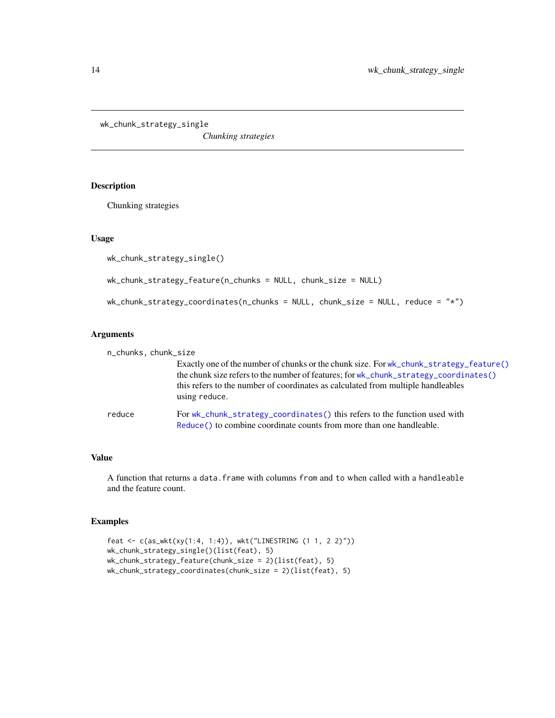<span id="page-13-0"></span>wk\_chunk\_strategy\_single

*Chunking strategies*

## <span id="page-13-1"></span>Description

Chunking strategies

#### Usage

```
wk_chunk_strategy_single()
```

```
wk_chunk_strategy_feature(n_chunks = NULL, chunk_size = NULL)
```
wk\_chunk\_strategy\_coordinates(n\_chunks = NULL, chunk\_size = NULL, reduce = "\*")

## Arguments

| n_chunks, chunk_size |        |                                                                                                                                                                                                                                                                                     |
|----------------------|--------|-------------------------------------------------------------------------------------------------------------------------------------------------------------------------------------------------------------------------------------------------------------------------------------|
|                      |        | Exactly one of the number of chunks or the chunk size. For wk_chunk_strategy_feature()<br>the chunk size refers to the number of features; for wk_chunk_strategy_coordinates()<br>this refers to the number of coordinates as calculated from multiple handleables<br>using reduce. |
|                      | reduce | For wk_chunk_strategy_coordinates() this refers to the function used with<br>Reduce () to combine coordinate counts from more than one handleable.                                                                                                                                  |

#### Value

A function that returns a data.frame with columns from and to when called with a handleable and the feature count.

```
feat <- c(as_wkt(xy(1:4, 1:4)), wkt("LINESTRING (1 1, 2 2)"))
wk_chunk_strategy_single()(list(feat), 5)
wk_chunk_strategy_feature(chunk_size = 2)(list(feat), 5)
wk_chunk_strategy_coordinates(chunk_size = 2)(list(feat), 5)
```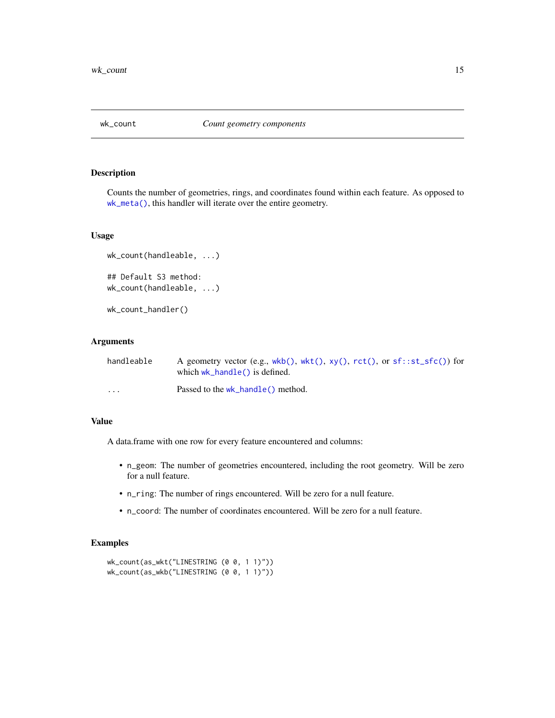<span id="page-14-0"></span>

Counts the number of geometries, rings, and coordinates found within each feature. As opposed to [wk\\_meta\(\)](#page-27-1), this handler will iterate over the entire geometry.

#### Usage

```
wk_count(handleable, ...)
## Default S3 method:
wk_count(handleable, ...)
```
wk\_count\_handler()

#### Arguments

| handleable | A geometry vector (e.g., wkb(), wkt(), $xy($ ), $rct()$ , or $sf::st\_sfc()$ for<br>which $wk_{\text{}}$ hand $\leq$ () is defined. |
|------------|-------------------------------------------------------------------------------------------------------------------------------------|
| $\cdots$   | Passed to the wk_handle() method.                                                                                                   |

#### Value

A data.frame with one row for every feature encountered and columns:

- n\_geom: The number of geometries encountered, including the root geometry. Will be zero for a null feature.
- n\_ring: The number of rings encountered. Will be zero for a null feature.
- n\_coord: The number of coordinates encountered. Will be zero for a null feature.

```
wk_count(as_wkt("LINESTRING (0 0, 1 1)"))
wk_count(as_wkb("LINESTRING (0 0, 1 1)"))
```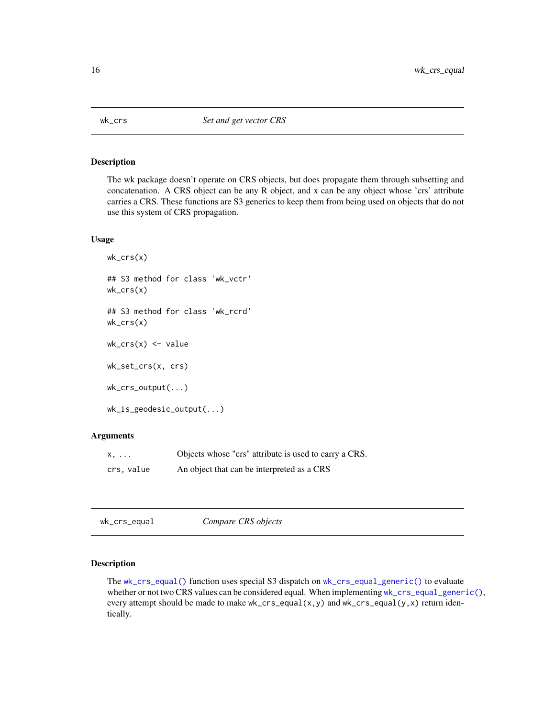<span id="page-15-0"></span>

The wk package doesn't operate on CRS objects, but does propagate them through subsetting and concatenation. A CRS object can be any R object, and x can be any object whose 'crs' attribute carries a CRS. These functions are S3 generics to keep them from being used on objects that do not use this system of CRS propagation.

#### Usage

```
wk_crs(x)## S3 method for class 'wk_vctr'
wk_crs(x)## S3 method for class 'wk_rcrd'
wk_crs(x)wk_crs(x) \leq valuewk_set_crs(x, crs)
wk_crs_output(...)
wk_is_geodesic_output(...)
```
#### Arguments

| x,        | Objects whose "crs" attribute is used to carry a CRS. |
|-----------|-------------------------------------------------------|
| crs.value | An object that can be interpreted as a CRS            |

<span id="page-15-1"></span>

| wk_crs_equal | Compare CRS objects |  |
|--------------|---------------------|--|
|--------------|---------------------|--|

## <span id="page-15-2"></span>Description

The [wk\\_crs\\_equal\(\)](#page-15-1) function uses special S3 dispatch on [wk\\_crs\\_equal\\_generic\(\)](#page-15-2) to evaluate whether or not two CRS values can be considered equal. When implementing [wk\\_crs\\_equal\\_generic\(\)](#page-15-2), every attempt should be made to make wk\_crs\_equal(x,y) and wk\_crs\_equal(y,x) return identically.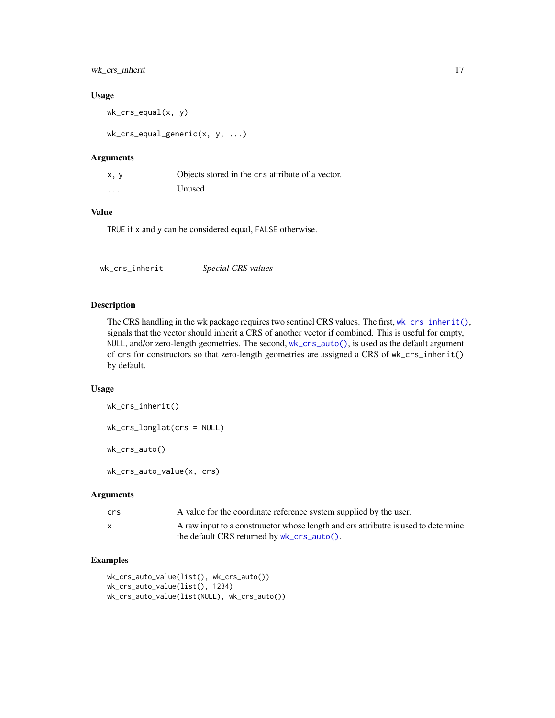## <span id="page-16-0"></span>wk\_crs\_inherit 17

#### Usage

wk\_crs\_equal(x, y)

wk\_crs\_equal\_generic(x, y, ...)

#### Arguments

| x, y     | Objects stored in the crs attribute of a vector. |
|----------|--------------------------------------------------|
| $\cdots$ | Unused                                           |

#### Value

TRUE if x and y can be considered equal, FALSE otherwise.

<span id="page-16-1"></span>

| wk_crs_inherit | Special CRS values |  |
|----------------|--------------------|--|
|----------------|--------------------|--|

#### <span id="page-16-2"></span>Description

The CRS handling in the wk package requires two sentinel CRS values. The first, [wk\\_crs\\_inherit\(\)](#page-16-1), signals that the vector should inherit a CRS of another vector if combined. This is useful for empty, NULL, and/or zero-length geometries. The second, [wk\\_crs\\_auto\(\)](#page-16-2), is used as the default argument of crs for constructors so that zero-length geometries are assigned a CRS of wk\_crs\_inherit() by default.

## Usage

```
wk_crs_inherit()
```
wk\_crs\_longlat(crs = NULL)

wk\_crs\_auto()

wk\_crs\_auto\_value(x, crs)

#### Arguments

| crs | A value for the coordinate reference system supplied by the user.                 |
|-----|-----------------------------------------------------------------------------------|
|     | A raw input to a constructor whose length and crs attributte is used to determine |
|     | the default CRS returned by $wk_crs_auto()$ .                                     |

```
wk_crs_auto_value(list(), wk_crs_auto())
wk_crs_auto_value(list(), 1234)
wk_crs_auto_value(list(NULL), wk_crs_auto())
```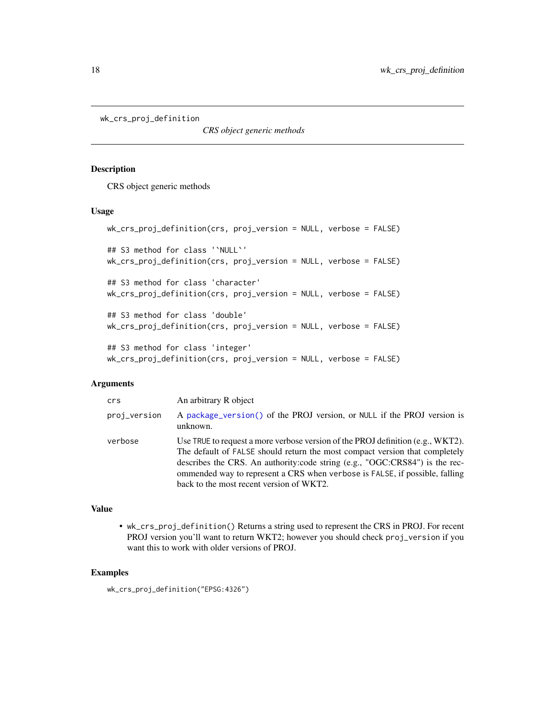```
wk_crs_proj_definition
```
*CRS object generic methods*

## Description

CRS object generic methods

#### Usage

```
wk_crs_proj_definition(crs, proj_version = NULL, verbose = FALSE)
## S3 method for class '`NULL`'
wk_crs_proj_definition(crs, proj_version = NULL, verbose = FALSE)
## S3 method for class 'character'
wk_crs_proj_definition(crs, proj_version = NULL, verbose = FALSE)
## S3 method for class 'double'
wk_crs_proj_definition(crs, proj_version = NULL, verbose = FALSE)
## S3 method for class 'integer'
wk_crs_proj_definition(crs, proj_version = NULL, verbose = FALSE)
```
#### Arguments

| crs          | An arbitrary R object                                                                                                                                                                                                                                                                                                                                                       |
|--------------|-----------------------------------------------------------------------------------------------------------------------------------------------------------------------------------------------------------------------------------------------------------------------------------------------------------------------------------------------------------------------------|
| proj_version | A package_version() of the PROJ version, or NULL if the PROJ version is<br>unknown.                                                                                                                                                                                                                                                                                         |
| verbose      | Use TRUE to request a more verbose version of the PROJ definition (e.g., $WKT2$ ).<br>The default of FALSE should return the most compact version that completely<br>describes the CRS. An authority:code string (e.g., "OGC:CRS84") is the rec-<br>ommended way to represent a CRS when verbose is FALSE, if possible, falling<br>back to the most recent version of WKT2. |

## Value

• wk\_crs\_proj\_definition() Returns a string used to represent the CRS in PROJ. For recent PROJ version you'll want to return WKT2; however you should check proj\_version if you want this to work with older versions of PROJ.

## Examples

wk\_crs\_proj\_definition("EPSG:4326")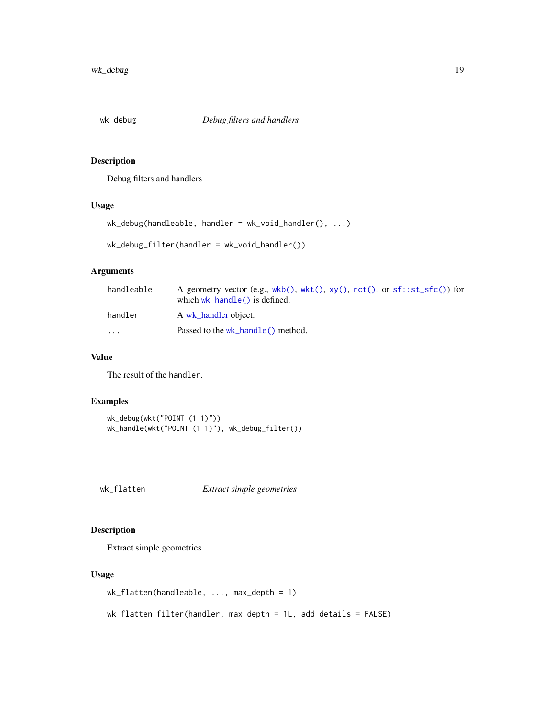<span id="page-18-1"></span><span id="page-18-0"></span>

Debug filters and handlers

## Usage

```
wk_debug(handleable, handler = wk_void_handler(), ...)
```
wk\_debug\_filter(handler = wk\_void\_handler())

## Arguments

| handleable              | A geometry vector (e.g., wkb(), wkt(), $xy($ ), $rct()$ , or $sf::st\_sfc()$ for<br>which $wk_{\text{}}$ hand $\leq$ () is defined. |
|-------------------------|-------------------------------------------------------------------------------------------------------------------------------------|
| handler                 | A wk handler object.                                                                                                                |
| $\cdot$ $\cdot$ $\cdot$ | Passed to the wk_handle() method.                                                                                                   |

## Value

The result of the handler.

## Examples

```
wk_debug(wkt("POINT (1 1)"))
wk_handle(wkt("POINT (1 1)"), wk_debug_filter())
```
wk\_flatten *Extract simple geometries*

## Description

Extract simple geometries

#### Usage

```
wk_flatten(handleable, ..., max_depth = 1)
```
wk\_flatten\_filter(handler, max\_depth = 1L, add\_details = FALSE)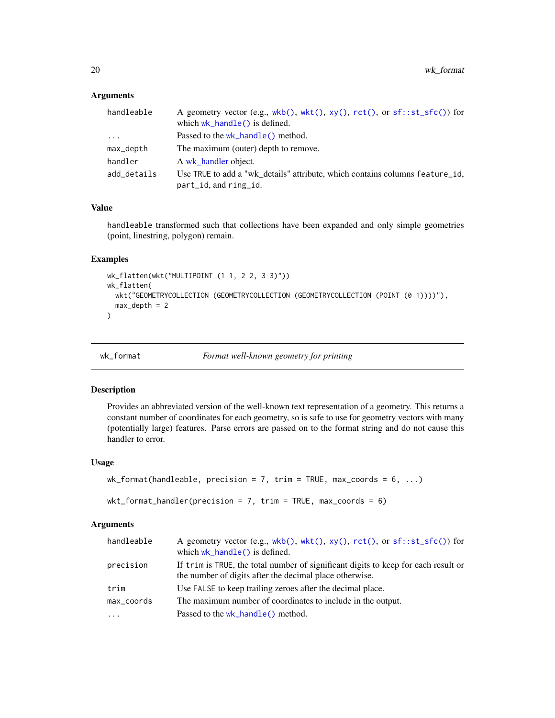## Arguments

| handleable  | A geometry vector (e.g., $wkb()$ , $wkt()$ , $xy()$ , $rct()$ , or $sf::st\_sfc()$ ) for |
|-------------|------------------------------------------------------------------------------------------|
|             | which $wk_{\text{}}$ hand $\leq$ () is defined.                                          |
| $\cdot$     | Passed to the wk_handle() method.                                                        |
| max_depth   | The maximum (outer) depth to remove.                                                     |
| handler     | A wk_handler object.                                                                     |
| add_details | Use TRUE to add a "wk details" attribute, which contains columns feature id,             |
|             | part_id, and ring_id.                                                                    |

#### Value

handleable transformed such that collections have been expanded and only simple geometries (point, linestring, polygon) remain.

#### Examples

```
wk_flatten(wkt("MULTIPOINT (1 1, 2 2, 3 3)"))
wk_flatten(
  wkt("GEOMETRYCOLLECTION (GEOMETRYCOLLECTION (GEOMETRYCOLLECTION (POINT (0 1))))"),
  max\_depth = 2\mathcal{L}
```
<span id="page-19-1"></span>

wk\_format *Format well-known geometry for printing*

#### Description

Provides an abbreviated version of the well-known text representation of a geometry. This returns a constant number of coordinates for each geometry, so is safe to use for geometry vectors with many (potentially large) features. Parse errors are passed on to the format string and do not cause this handler to error.

#### Usage

```
wk_format(handleable, precision = 7, trim = TRUE, max_coords = 6, ...)
```

```
wkt_format_handler(precision = 7, trim = TRUE, max_coords = 6)
```

| handleable | A geometry vector (e.g., $wkb()$ , $wkt()$ , $xy()$ , $rct()$ , or $sf::st\_sfc()$ ) for<br>which wk_handle() is defined.                     |
|------------|-----------------------------------------------------------------------------------------------------------------------------------------------|
| precision  | If trim is TRUE, the total number of significant digits to keep for each result or<br>the number of digits after the decimal place otherwise. |
| trim       | Use FALSE to keep trailing zeroes after the decimal place.                                                                                    |
| max_coords | The maximum number of coordinates to include in the output.                                                                                   |
| $\ddots$ . | Passed to the wk_handle() method.                                                                                                             |

<span id="page-19-0"></span>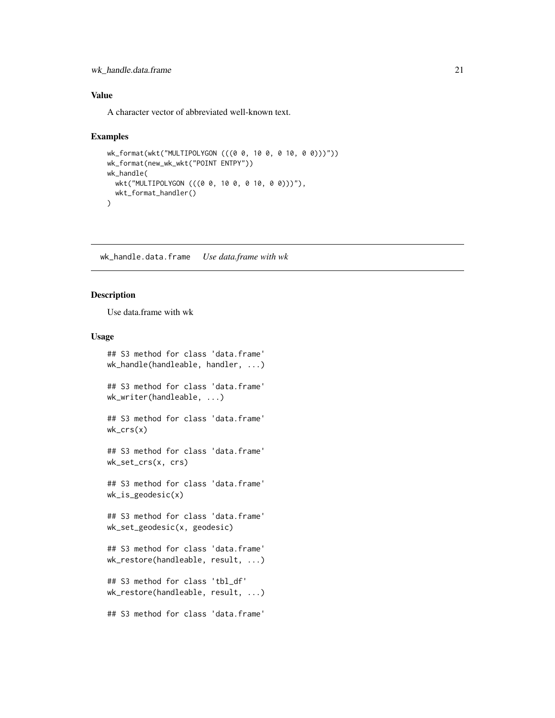#### <span id="page-20-0"></span>wk\_handle.data.frame 21

## Value

A character vector of abbreviated well-known text.

#### Examples

```
wk_format(wkt("MULTIPOLYGON (((0 0, 10 0, 0 10, 0 0)))"))
wk_format(new_wk_wkt("POINT ENTPY"))
wk_handle(
 wkt("MULTIPOLYGON (((0 0, 10 0, 0 10, 0 0)))"),
  wkt_format_handler()
\lambda
```
wk\_handle.data.frame *Use data.frame with wk*

## S3 method for class 'data.frame'

## Description

Use data.frame with wk

#### Usage

```
wk_handle(handleable, handler, ...)
## S3 method for class 'data.frame'
wk_writer(handleable, ...)
## S3 method for class 'data.frame'
wk_crs(x)## S3 method for class 'data.frame'
wk_set_crs(x, crs)
## S3 method for class 'data.frame'
wk_is_geodesic(x)
## S3 method for class 'data.frame'
wk_set_geodesic(x, geodesic)
## S3 method for class 'data.frame'
wk_restore(handleable, result, ...)
## S3 method for class 'tbl_df'
wk_restore(handleable, result, ...)
## S3 method for class 'data.frame'
```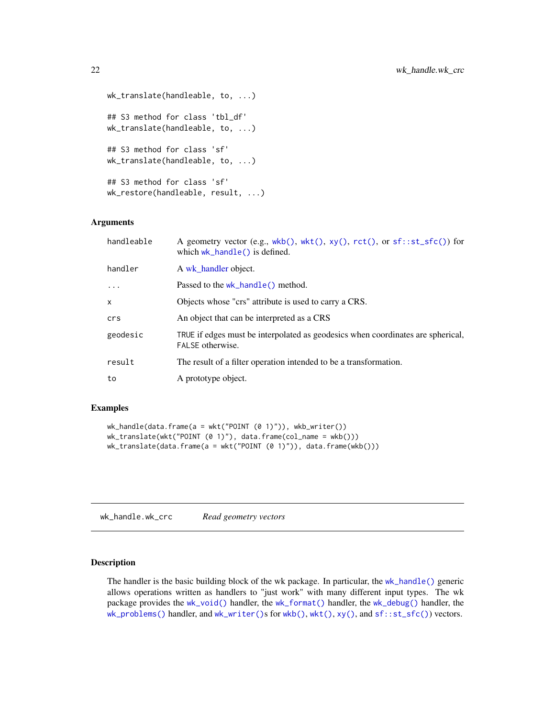```
wk_translate(handleable, to, ...)
## S3 method for class 'tbl_df'
wk_translate(handleable, to, ...)
## S3 method for class 'sf'
wk_translate(handleable, to, ...)
## S3 method for class 'sf'
wk_restore(handleable, result, ...)
```
#### Arguments

| handleable   | A geometry vector (e.g., wkb(), wkt(), $xy($ ), $rct()$ , or $sf::st\_sfc()$ for<br>which $wk_{\text{}}$ hand $le()$ is defined. |
|--------------|----------------------------------------------------------------------------------------------------------------------------------|
| handler      | A wk handler object.                                                                                                             |
| .            | Passed to the wk_handle() method.                                                                                                |
| $\mathsf{x}$ | Objects whose "crs" attribute is used to carry a CRS.                                                                            |
| crs          | An object that can be interpreted as a CRS                                                                                       |
| geodesic     | TRUE if edges must be interpolated as geodesics when coordinates are spherical,<br>FALSE otherwise.                              |
| result       | The result of a filter operation intended to be a transformation.                                                                |
| to           | A prototype object.                                                                                                              |

## Examples

```
wk_handle(data.frame(a = wkt("POINT (0 1)")), wkb_writer())
wk_translate(wkt("POINT (0 1)"), data.frame(col_name = wkb()))
wk_translate(data.frame(a = wkt("POINT (0 1)")), data.frame(wkb()))
```
wk\_handle.wk\_crc *Read geometry vectors*

#### <span id="page-21-1"></span>Description

The handler is the basic building block of the wk package. In particular, the [wk\\_handle\(\)](#page-21-1) generic allows operations written as handlers to "just work" with many different input types. The wk package provides the [wk\\_void\(\)](#page-36-2) handler, the [wk\\_format\(\)](#page-19-1) handler, the [wk\\_debug\(\)](#page-18-1) handler, the [wk\\_problems\(\)](#page-30-1) handler, and [wk\\_writer\(\)](#page-36-1)s for [wkb\(\)](#page-8-1), [wkt\(\)](#page-9-1), [xy\(\)](#page-38-1), and [sf::st\\_sfc\(\)](#page-0-0)) vectors.

<span id="page-21-0"></span>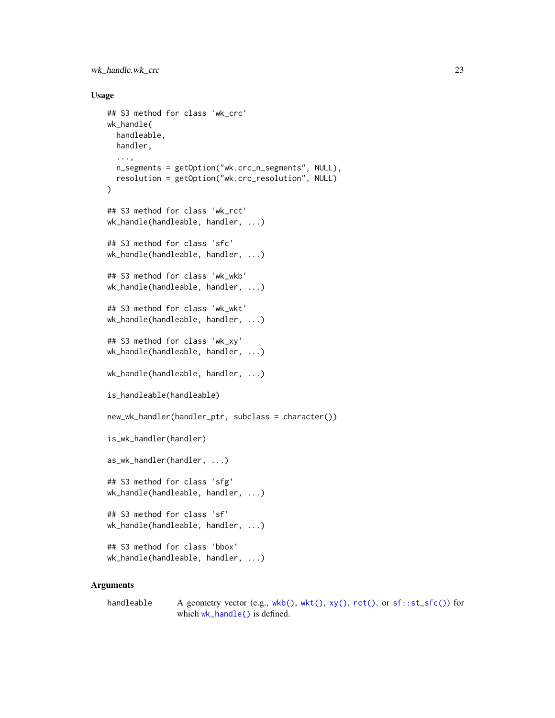<span id="page-22-0"></span>wk\_handle.wk\_crc 23

#### Usage

```
## S3 method for class 'wk_crc'
wk_handle(
 handleable,
 handler,
  ...,
 n_segments = getOption("wk.crc_n_segments", NULL),
 resolution = getOption("wk.crc_resolution", NULL)
)
## S3 method for class 'wk_rct'
wk_handle(handleable, handler, ...)
## S3 method for class 'sfc'
wk_handle(handleable, handler, ...)
## S3 method for class 'wk_wkb'
wk_handle(handleable, handler, ...)
## S3 method for class 'wk_wkt'
wk_handle(handleable, handler, ...)
## S3 method for class 'wk_xy'
wk_handle(handleable, handler, ...)
wk_handle(handleable, handler, ...)
is_handleable(handleable)
new_wk_handler(handler_ptr, subclass = character())
is_wk_handler(handler)
as_wk_handler(handler, ...)
## S3 method for class 'sfg'
wk_handle(handleable, handler, ...)
## S3 method for class 'sf'
wk_handle(handleable, handler, ...)
## S3 method for class 'bbox'
wk_handle(handleable, handler, ...)
```

```
handleable A geometry vector (e.g., wkb(), wkt(), xy(), rct(), or sf::st_st(C()) for
                which wk_handle() is defined.
```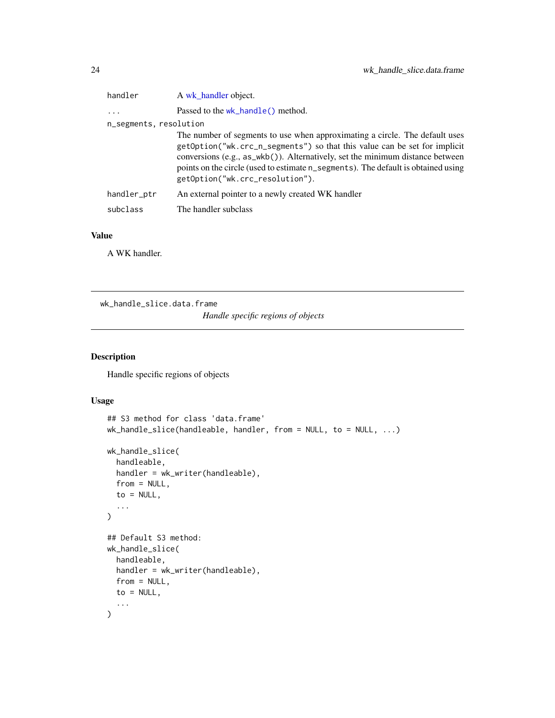<span id="page-23-0"></span>

| handler                | A wk handler object.                                                                                                                                                                                                                                                                                                                                              |
|------------------------|-------------------------------------------------------------------------------------------------------------------------------------------------------------------------------------------------------------------------------------------------------------------------------------------------------------------------------------------------------------------|
| $\ddots$               | Passed to the wk_handle() method.                                                                                                                                                                                                                                                                                                                                 |
| n_segments, resolution |                                                                                                                                                                                                                                                                                                                                                                   |
|                        | The number of segments to use when approximating a circle. The default uses<br>getOption("wk.crc_n_segments") so that this value can be set for implicit<br>conversions (e.g., as_wkb()). Alternatively, set the minimum distance between<br>points on the circle (used to estimate n_segments). The default is obtained using<br>getOption("wk.crc_resolution"). |
| handler_ptr            | An external pointer to a newly created WK handler                                                                                                                                                                                                                                                                                                                 |
| subclass               | The handler subclass                                                                                                                                                                                                                                                                                                                                              |
|                        |                                                                                                                                                                                                                                                                                                                                                                   |

## Value

A WK handler.

wk\_handle\_slice.data.frame

*Handle specific regions of objects*

## Description

Handle specific regions of objects

## Usage

```
## S3 method for class 'data.frame'
wk_handle_slice(handleable, handler, from = NULL, to = NULL, ...)
wk_handle_slice(
  handleable,
  handler = wk_writer(handleable),
  from = NULL,to = NULL,...
)
## Default S3 method:
wk_handle_slice(
  handleable,
 handler = wk_writer(handleable),
  from = NULL,
  to = NULL,...
\mathcal{L}
```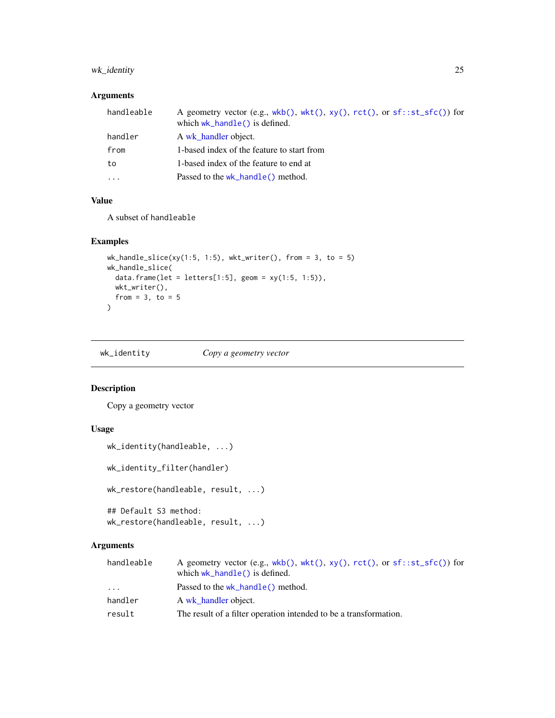## <span id="page-24-0"></span>wk\_identity 25

# Arguments

| handleable | A geometry vector (e.g., $wkb()$ , $wkt()$ , $xy()$ , $rct()$ , or $sf::st\_sfc()$ ) for<br>which $wk_{\text{}}$ hand $\leq$ () is defined. |
|------------|---------------------------------------------------------------------------------------------------------------------------------------------|
| handler    | A wk handler object.                                                                                                                        |
| from       | 1-based index of the feature to start from                                                                                                  |
| to         | 1-based index of the feature to end at                                                                                                      |
| .          | Passed to the wk_handle() method.                                                                                                           |
|            |                                                                                                                                             |

# Value

A subset of handleable

#### Examples

```
wk_handle_slice(xy(1:5, 1:5), wkt_writer(), from = 3, to = 5)
wk_handle_slice(
  data.frame(let = letters[1:5], geom = xy(1:5, 1:5)),
  wkt_writer(),
  from = 3, to = 5)
```
wk\_identity *Copy a geometry vector*

# Description

Copy a geometry vector

## Usage

```
wk_identity(handleable, ...)
wk_identity_filter(handler)
wk_restore(handleable, result, ...)
## Default S3 method:
wk_restore(handleable, result, ...)
```

| handleable | A geometry vector (e.g., wkb(), wkt(), $xy($ ), $rct()$ , or $sf::st\_sfc()$ for<br>which $wk_{\text{}}$ hand $\leq$ () is defined. |
|------------|-------------------------------------------------------------------------------------------------------------------------------------|
| .          | Passed to the wk_handle() method.                                                                                                   |
| handler    | A wk handler object.                                                                                                                |
| result     | The result of a filter operation intended to be a transformation.                                                                   |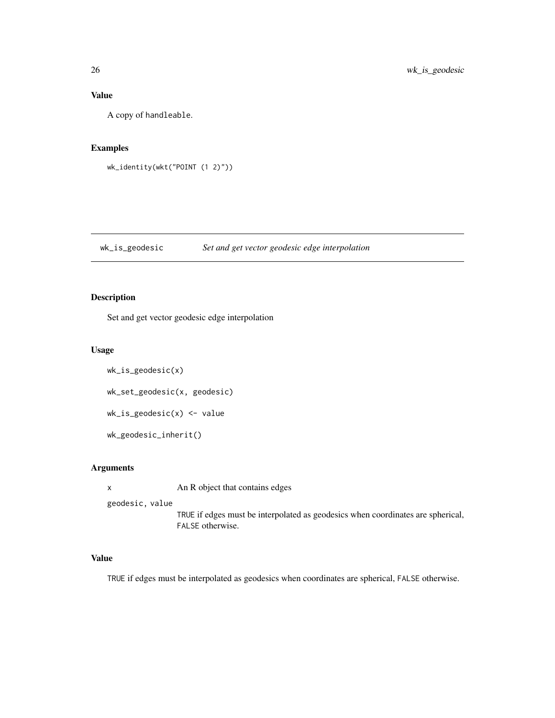# <span id="page-25-0"></span>Value

A copy of handleable.

## Examples

```
wk_identity(wkt("POINT (1 2)"))
```
wk\_is\_geodesic *Set and get vector geodesic edge interpolation*

## Description

Set and get vector geodesic edge interpolation

#### Usage

```
wk_is_geodesic(x)
wk_set_geodesic(x, geodesic)
wk_is_geodesic(x) <- value
wk_geodesic_inherit()
```
## Arguments

x An R object that contains edges

geodesic, value

TRUE if edges must be interpolated as geodesics when coordinates are spherical, FALSE otherwise.

# Value

TRUE if edges must be interpolated as geodesics when coordinates are spherical, FALSE otherwise.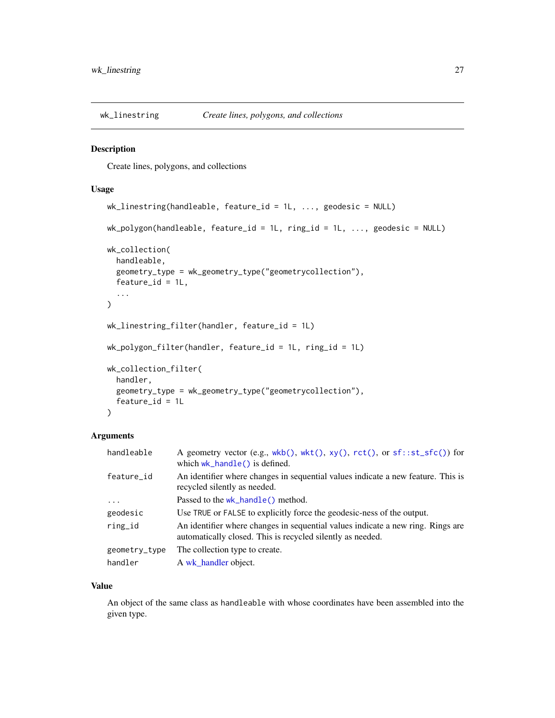<span id="page-26-0"></span>

Create lines, polygons, and collections

## Usage

```
wk_linestring(handleable, feature_id = 1L, ..., geodesic = NULL)
wk_polygon(handleable, feature_id = 1L, ring_id = 1L, ..., geodesic = NULL)
wk_collection(
 handleable,
 geometry_type = wk_geometry_type("geometrycollection"),
  feature_id = 1L,
  ...
\lambdawk_linestring_filter(handler, feature_id = 1L)
wk_polygon_filter(handler, feature_id = 1L, ring_id = 1L)
wk_collection_filter(
  handler,
 geometry_type = wk_geometry_type("geometrycollection"),
  feature_id = 1L)
```
#### Arguments

| handleable    | A geometry vector (e.g., wkb(), wkt(), xy(), rct(), or sf::st_sfc()) for<br>which $wk_{\text{-}}$ hand $\text{Re}(\cdot)$ is defined.         |
|---------------|-----------------------------------------------------------------------------------------------------------------------------------------------|
| feature_id    | An identifier where changes in sequential values indicate a new feature. This is<br>recycled silently as needed.                              |
| $\ddotsc$     | Passed to the wk_handle() method.                                                                                                             |
| geodesic      | Use TRUE or FALSE to explicitly force the geodesic-ness of the output.                                                                        |
| ring_id       | An identifier where changes in sequential values indicate a new ring. Rings are<br>automatically closed. This is recycled silently as needed. |
| geometry_type | The collection type to create.                                                                                                                |
| handler       | A wk_handler object.                                                                                                                          |

#### Value

An object of the same class as handleable with whose coordinates have been assembled into the given type.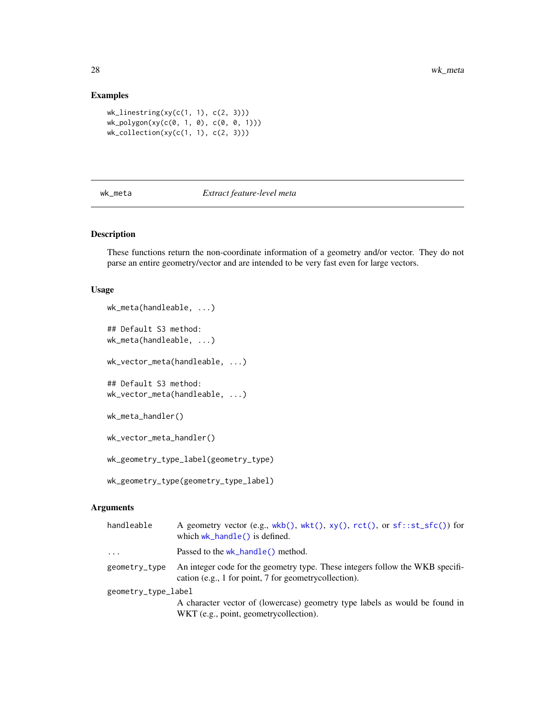## Examples

```
wk_linestring(xy(c(1, 1), c(2, 3)))
wk_polygon(xy(c(0, 1, 0), c(0, 0, 1)))
wk_collection(xy(c(1, 1), c(2, 3)))
```
#### <span id="page-27-1"></span>wk\_meta *Extract feature-level meta*

## Description

These functions return the non-coordinate information of a geometry and/or vector. They do not parse an entire geometry/vector and are intended to be very fast even for large vectors.

#### Usage

```
wk_meta(handleable, ...)
## Default S3 method:
wk_meta(handleable, ...)
wk_vector_meta(handleable, ...)
## Default S3 method:
wk_vector_meta(handleable, ...)
wk_meta_handler()
wk_vector_meta_handler()
wk_geometry_type_label(geometry_type)
wk_geometry_type(geometry_type_label)
```

| handleable          | A geometry vector (e.g., $wkb()$ , $wkt()$ , $xy()$ , $rct()$ , or $sf::st\_sfc()$ ) for<br>which wk_handle() is defined.              |
|---------------------|----------------------------------------------------------------------------------------------------------------------------------------|
| $\ddots$ .          | Passed to the wk_handle() method.                                                                                                      |
| geometry_type       | An integer code for the geometry type. These integers follow the WKB specifi-<br>cation (e.g., 1 for point, 7 for geometrycollection). |
| geometry_type_label |                                                                                                                                        |
|                     | A character vector of (lowercase) geometry type labels as would be found in<br>WKT (e.g., point, geometrycollection).                  |

<span id="page-27-0"></span>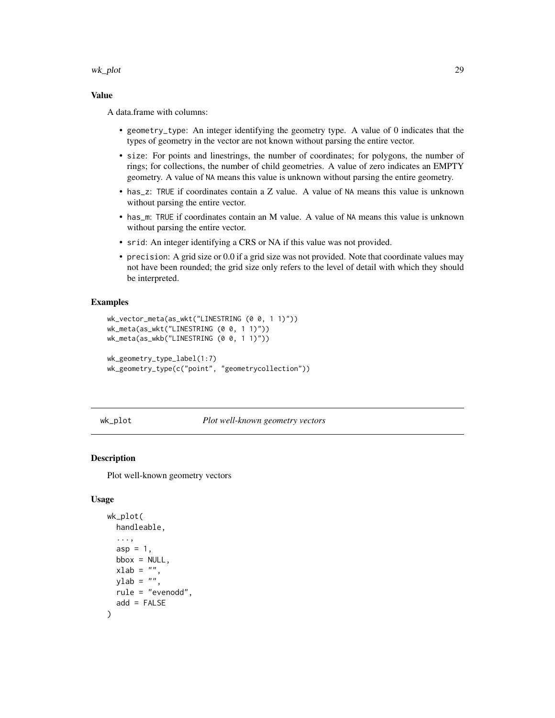<span id="page-28-0"></span>wk\_plot 29

#### Value

A data.frame with columns:

- geometry\_type: An integer identifying the geometry type. A value of 0 indicates that the types of geometry in the vector are not known without parsing the entire vector.
- size: For points and linestrings, the number of coordinates; for polygons, the number of rings; for collections, the number of child geometries. A value of zero indicates an EMPTY geometry. A value of NA means this value is unknown without parsing the entire geometry.
- has\_z: TRUE if coordinates contain a Z value. A value of NA means this value is unknown without parsing the entire vector.
- has\_m: TRUE if coordinates contain an M value. A value of NA means this value is unknown without parsing the entire vector.
- srid: An integer identifying a CRS or NA if this value was not provided.
- precision: A grid size or 0.0 if a grid size was not provided. Note that coordinate values may not have been rounded; the grid size only refers to the level of detail with which they should be interpreted.

#### Examples

```
wk_vector_meta(as_wkt("LINESTRING (0 0, 1 1)"))
wk_meta(as_wkt("LINESTRING (0 0, 1 1)"))
wk_meta(as_wkb("LINESTRING (0 0, 1 1)"))
wk_geometry_type_label(1:7)
wk_geometry_type(c("point", "geometrycollection"))
```
wk\_plot *Plot well-known geometry vectors*

#### Description

Plot well-known geometry vectors

#### Usage

```
wk_plot(
 handleable,
  ...,
  asp = 1,bbox = NULL,
  xlab = "",
 vlab = "",
 rule = "evenodd",
  add = FALSE
)
```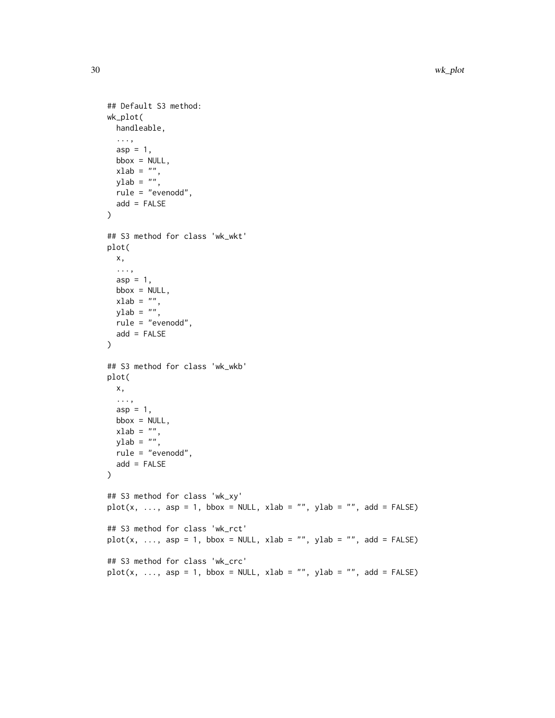```
## Default S3 method:
wk_plot(
 handleable,
  ...,
 asp = 1,bbox = NULL,xlab = ",
 ylab = \binom{m}{y}rule = "evenodd",
 add = FALSE\mathcal{L}## S3 method for class 'wk_wkt'
plot(
 x,
 ...,
 asp = 1,bbox = NULL,xlab = "",
 ylab = "",
 rule = "evenodd",
 add = FALSE\mathcal{L}## S3 method for class 'wk_wkb'
plot(
 x,
  ...,
 asp = 1,bbox = NULL,xlab = "",
 ylab = "",
 rule = "evenodd",
 add = FALSE\mathcal{L}## S3 method for class 'wk_xy'
plot(x, ..., asp = 1, bbox = NULL, xlab = "", ylab = "", add = FALSE)## S3 method for class 'wk_rct'
plot(x, ..., asp = 1, bbox = NULL, xlab = "", ylab = "", add = FALSE)## S3 method for class 'wk_crc'
plot(x, ..., asp = 1, bbox = NULL, xlab = "", ylab = "", add = FALSE)
```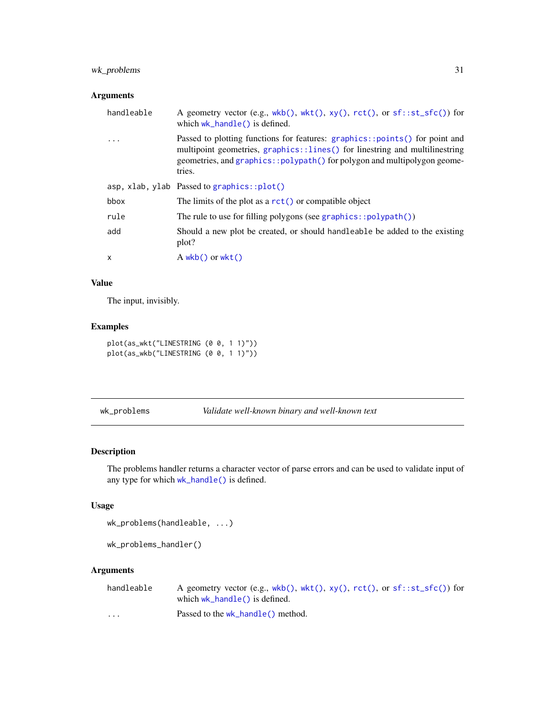## <span id="page-30-0"></span>wk\_problems 31

## Arguments

| handleable   | A geometry vector (e.g., $wkb()$ , $wkt()$ , $xy()$ , $rct()$ , or $sf::st\_sfc()$ ) for<br>which $wk_{\text{}}$ hand $\leq$ () is defined.                                                                                                      |
|--------------|--------------------------------------------------------------------------------------------------------------------------------------------------------------------------------------------------------------------------------------------------|
| $\cdot$      | Passed to plotting functions for features: graphics::points() for point and<br>multipoint geometries, graphics::lines() for linestring and multilinestring<br>geometries, and graphics::polypath() for polygon and multipolygon geome-<br>tries. |
|              | asp, xlab, ylab Passed to graphics:: $plot()$                                                                                                                                                                                                    |
| bbox         | The limits of the plot as a $rct()$ or compatible object                                                                                                                                                                                         |
| rule         | The rule to use for filling polygons (see graphics:: $polypath()$ )                                                                                                                                                                              |
| add          | Should a new plot be created, or should handleable be added to the existing<br>plot?                                                                                                                                                             |
| $\mathsf{x}$ | $A$ wkb() or wkt()                                                                                                                                                                                                                               |
|              |                                                                                                                                                                                                                                                  |

#### Value

The input, invisibly.

## Examples

```
plot(as_wkt("LINESTRING (0 0, 1 1)"))
plot(as_wkb("LINESTRING (0 0, 1 1)"))
```
<span id="page-30-1"></span>wk\_problems *Validate well-known binary and well-known text*

# Description

The problems handler returns a character vector of parse errors and can be used to validate input of any type for which [wk\\_handle\(\)](#page-21-1) is defined.

## Usage

```
wk_problems(handleable, ...)
```
wk\_problems\_handler()

| handleable           | A geometry vector (e.g., wkb(), wkt(), $xy($ ), $rct()$ , or $sf::st\_sfc()$ for |
|----------------------|----------------------------------------------------------------------------------|
|                      | which $wk_{\text{}}$ hand $\leq$ () is defined.                                  |
| $\ddot{\phantom{0}}$ | Passed to the wk_handle() method.                                                |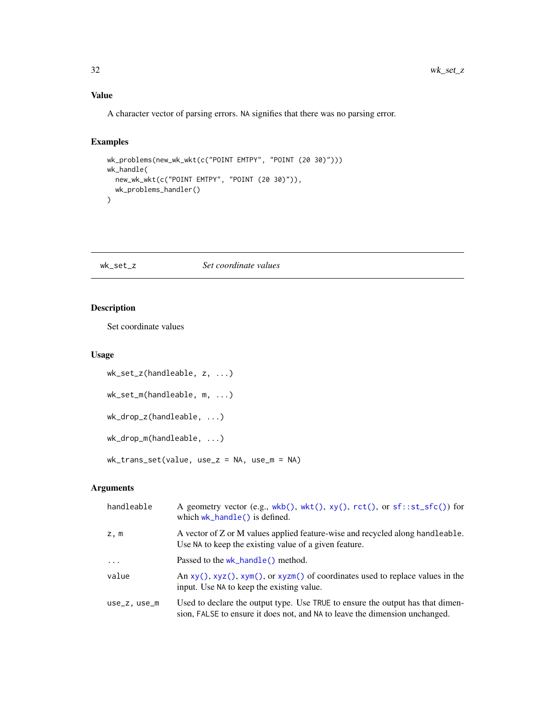# Value

A character vector of parsing errors. NA signifies that there was no parsing error.

## Examples

```
wk_problems(new_wk_wkt(c("POINT EMTPY", "POINT (20 30)")))
wk_handle(
  new_wk_wkt(c("POINT EMTPY", "POINT (20 30)")),
  wk_problems_handler()
\overline{\phantom{a}}
```
#### wk\_set\_z *Set coordinate values*

## Description

Set coordinate values

#### Usage

```
wk_set_z(handleable, z, ...)
wk_set_m(handleable, m, ...)
wk_drop_z(handleable, ...)
wk_drop_m(handleable, ...)
wk_trans_set(value, use_z = NA, use_m = NA)
```

| handleable   | A geometry vector (e.g., $wkb()$ , $wkt()$ , $xy()$ , $rct()$ , or $sf::st\_sfc()$ ) for<br>which $wk_{\text{}}$ hand $\leq$ () is defined.                   |
|--------------|---------------------------------------------------------------------------------------------------------------------------------------------------------------|
| z, m         | A vector of Z or M values applied feature-wise and recycled along handleable.<br>Use NA to keep the existing value of a given feature.                        |
| .            | Passed to the $wk$ -handle() method.                                                                                                                          |
| value        | An $xy($ , $xyz($ ), $xym($ ), or $xyzm($ ) of coordinates used to replace values in the<br>input. Use NA to keep the existing value.                         |
| use_z, use_m | Used to declare the output type. Use TRUE to ensure the output has that dimen-<br>sion, FALSE to ensure it does not, and NA to leave the dimension unchanged. |

<span id="page-31-0"></span>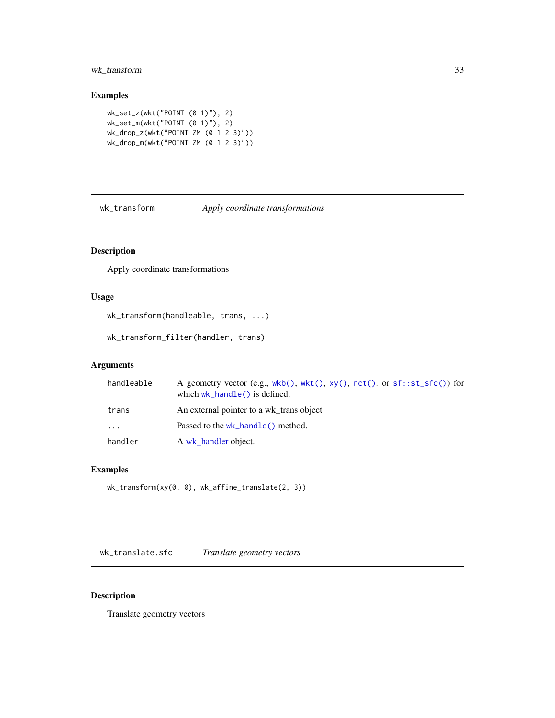## <span id="page-32-0"></span>wk\_transform 33

#### Examples

```
wk_set_z(wkt("POINT (0 1)"), 2)
wk_set_m(wkt("POINT (0 1)"), 2)
wk_drop_z(wkt("POINT ZM (0 1 2 3)"))
wk_drop_m(wkt("POINT ZM (0 1 2 3)"))
```
wk\_transform *Apply coordinate transformations*

# Description

Apply coordinate transformations

## Usage

wk\_transform(handleable, trans, ...)

wk\_transform\_filter(handler, trans)

#### Arguments

| handleable | A geometry vector (e.g., $wkb()$ , $wkt()$ , $xy()$ , $rct()$ , or $sf::st\_sfc()$ ) for<br>which $wk_{\text{}}$ hand $\leq$ () is defined. |
|------------|---------------------------------------------------------------------------------------------------------------------------------------------|
| trans      | An external pointer to a wk trans object                                                                                                    |
| $\ddots$   | Passed to the wk_handle() method.                                                                                                           |
| handler    | A wk handler object.                                                                                                                        |

#### Examples

```
wk_transform(xy(0, 0), wk_affine_translate(2, 3))
```
wk\_translate.sfc *Translate geometry vectors*

## Description

Translate geometry vectors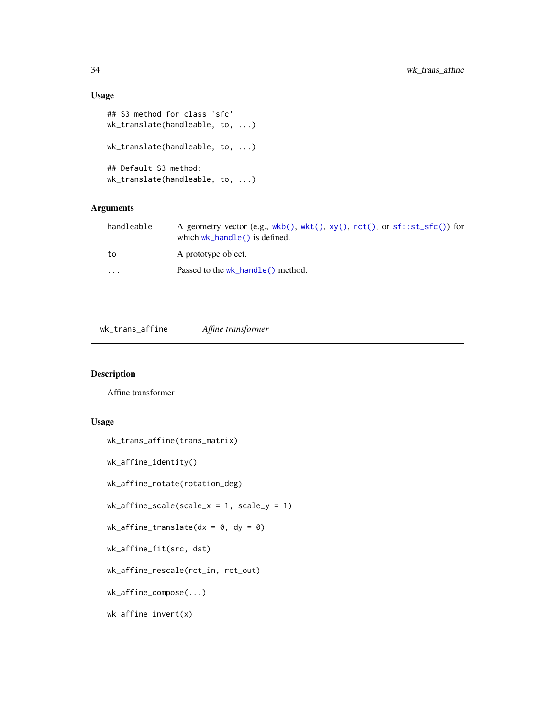## Usage

```
## S3 method for class 'sfc'
wk_translate(handleable, to, ...)
wk_translate(handleable, to, ...)
## Default S3 method:
wk_translate(handleable, to, ...)
```
## Arguments

| handleable | A geometry vector (e.g., $wkb()$ , $wkt()$ , $xy()$ , $rct()$ , or $sf::st\_sfc()$ ) for<br>which $wk_{\text{}}$ hand $\leq$ () is defined. |
|------------|---------------------------------------------------------------------------------------------------------------------------------------------|
| to         | A prototype object.                                                                                                                         |
| $\ddotsc$  | Passed to the wk_handle() method.                                                                                                           |

<span id="page-33-1"></span>wk\_trans\_affine *Affine transformer*

# Description

Affine transformer

## Usage

```
wk_trans_affine(trans_matrix)
```
wk\_affine\_identity()

wk\_affine\_rotate(rotation\_deg)

 $wk_a$ ffine\_scale(scale\_x = 1, scale\_y = 1)

```
wk_affine_translate(dx = 0, dy = 0)
```
wk\_affine\_fit(src, dst)

wk\_affine\_rescale(rct\_in, rct\_out)

wk\_affine\_compose(...)

wk\_affine\_invert(x)

<span id="page-33-0"></span>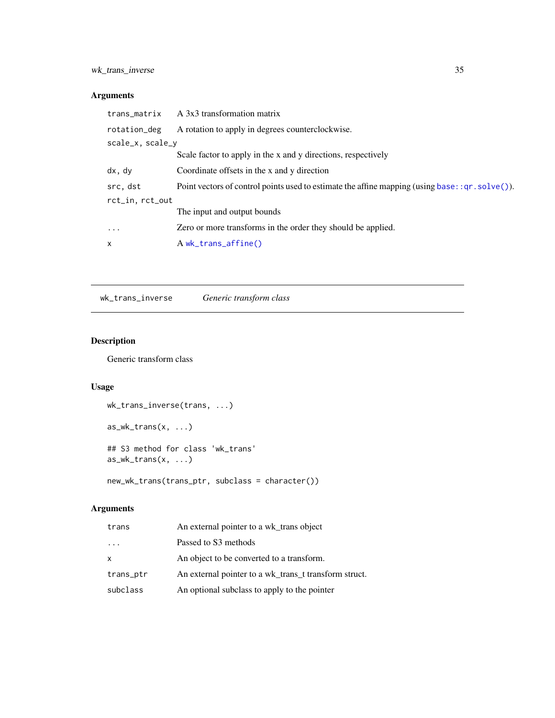## <span id="page-34-0"></span>Arguments

| trans_matrix     | A 3x3 transformation matrix                                                                       |
|------------------|---------------------------------------------------------------------------------------------------|
| rotation_deg     | A rotation to apply in degrees counterclockwise.                                                  |
| scale_x, scale_y |                                                                                                   |
|                  | Scale factor to apply in the x and y directions, respectively                                     |
| dx, dy           | Coordinate offsets in the x and y direction                                                       |
| src, dst         | Point vectors of control points used to estimate the affine mapping (using base: : qr. solve ()). |
| rct_in, rct_out  |                                                                                                   |
|                  | The input and output bounds                                                                       |
| $\ddots$         | Zero or more transforms in the order they should be applied.                                      |
| X                | A wk_trans_affine()                                                                               |

wk\_trans\_inverse *Generic transform class*

# Description

Generic transform class

# Usage

```
wk_trans_inverse(trans, ...)
as_wk_trans(x, ...)
## S3 method for class 'wk_trans'
as_wk_trans(x, ...)
```
new\_wk\_trans(trans\_ptr, subclass = character())

| trans                   | An external pointer to a wk_trans object              |
|-------------------------|-------------------------------------------------------|
| $\cdot$ $\cdot$ $\cdot$ | Passed to S3 methods                                  |
| $\mathsf{x}$            | An object to be converted to a transform.             |
| trans_ptr               | An external pointer to a wk_trans_t transform struct. |
| subclass                | An optional subclass to apply to the pointer          |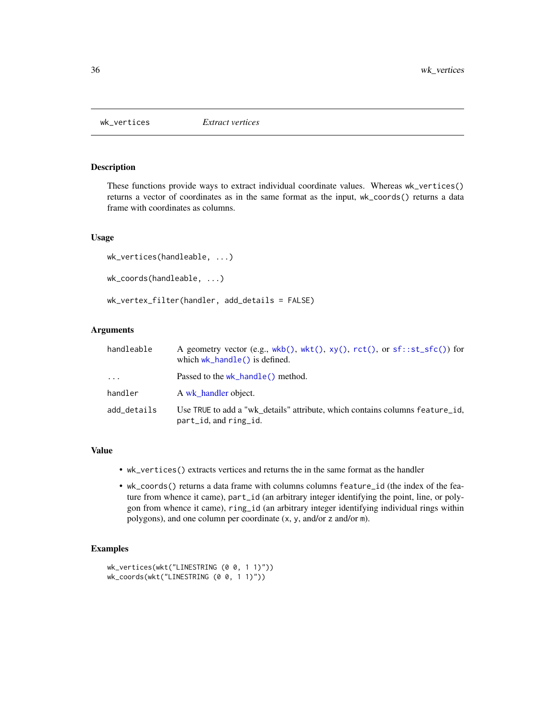<span id="page-35-1"></span><span id="page-35-0"></span>

These functions provide ways to extract individual coordinate values. Whereas wk\_vertices() returns a vector of coordinates as in the same format as the input, wk\_coords() returns a data frame with coordinates as columns.

#### Usage

```
wk_vertices(handleable, ...)
wk_coords(handleable, ...)
wk_vertex_filter(handler, add_details = FALSE)
```
#### Arguments

| handleable  | A geometry vector (e.g., wkb(), wkt(), xy(), rct(), or sf::st_sfc()) for<br>which $wk_{\text{}}$ hand $\leq$ () is defined. |
|-------------|-----------------------------------------------------------------------------------------------------------------------------|
| $\cdots$    | Passed to the wk_handle() method.                                                                                           |
| handler     | A wk handler object.                                                                                                        |
| add details | Use TRUE to add a "wk details" attribute, which contains columns feature id,<br>part_id, and ring_id.                       |

#### Value

- wk\_vertices() extracts vertices and returns the in the same format as the handler
- wk\_coords() returns a data frame with columns columns feature\_id (the index of the feature from whence it came), part\_id (an arbitrary integer identifying the point, line, or polygon from whence it came), ring\_id (an arbitrary integer identifying individual rings within polygons), and one column per coordinate (x, y, and/or z and/or m).

```
wk_vertices(wkt("LINESTRING (0 0, 1 1)"))
wk_coords(wkt("LINESTRING (0 0, 1 1)"))
```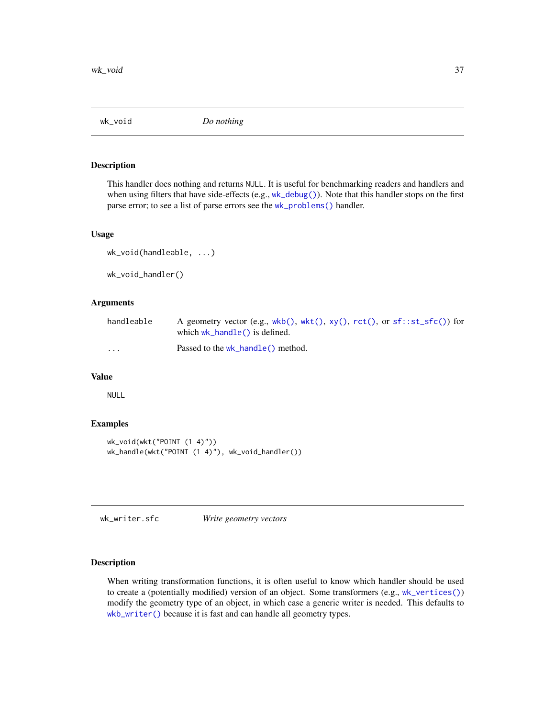<span id="page-36-2"></span><span id="page-36-0"></span>

This handler does nothing and returns NULL. It is useful for benchmarking readers and handlers and when using filters that have side-effects (e.g., [wk\\_debug\(\)](#page-18-1)). Note that this handler stops on the first parse error; to see a list of parse errors see the [wk\\_problems\(\)](#page-30-1) handler.

#### Usage

```
wk_void(handleable, ...)
wk_void_handler()
```
#### Arguments

| handleable              | A geometry vector (e.g., wkb(), wkt(), $xy($ ), $rct()$ , or $sf::st\_sfc()$ for<br>which $wk_{\text{}}$ hand $\leq$ () is defined. |
|-------------------------|-------------------------------------------------------------------------------------------------------------------------------------|
| $\cdot$ $\cdot$ $\cdot$ | Passed to the wk_handle() method.                                                                                                   |

#### Value

NULL

#### Examples

```
wk_void(wkt("POINT (1 4)"))
wk_handle(wkt("POINT (1 4)"), wk_void_handler())
```
wk\_writer.sfc *Write geometry vectors*

## <span id="page-36-1"></span>Description

When writing transformation functions, it is often useful to know which handler should be used to create a (potentially modified) version of an object. Some transformers (e.g., [wk\\_vertices\(\)](#page-35-1)) modify the geometry type of an object, in which case a generic writer is needed. This defaults to [wkb\\_writer\(\)](#page-36-1) because it is fast and can handle all geometry types.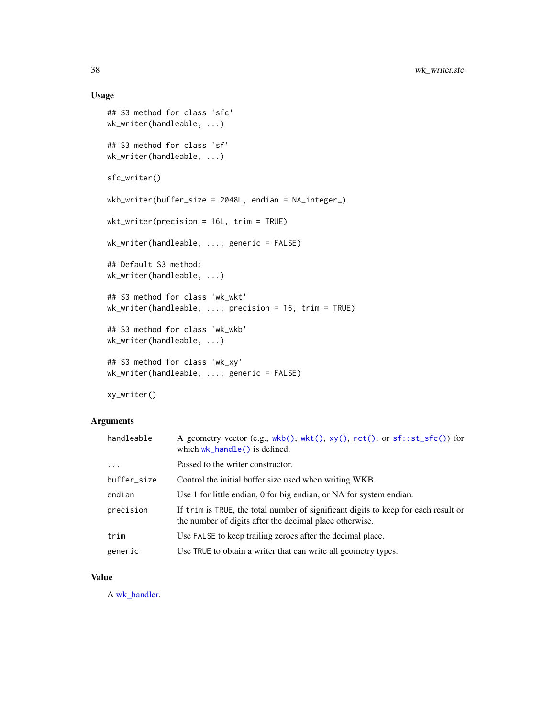## Usage

```
## S3 method for class 'sfc'
wk_writer(handleable, ...)
## S3 method for class 'sf'
wk_writer(handleable, ...)
sfc_writer()
wkb_writer(buffer_size = 2048L, endian = NA_integer_)
wkt_writer(precision = 16L, trim = TRUE)
wk_writer(handleable, ..., generic = FALSE)
## Default S3 method:
wk_writer(handleable, ...)
## S3 method for class 'wk_wkt'
wk_writer(handleable, ..., precision = 16, trim = TRUE)
## S3 method for class 'wk_wkb'
wk_writer(handleable, ...)
## S3 method for class 'wk_xy'
wk_writer(handleable, ..., generic = FALSE)
```
xy\_writer()

## Arguments

| handleable  | A geometry vector (e.g., wkb(), wkt(), xy(), rct(), or sf::st_sfc()) for<br>which $wk_{\text{}}$ hand $\leq$ () is defined.                   |
|-------------|-----------------------------------------------------------------------------------------------------------------------------------------------|
| $\ddots$ .  | Passed to the writer constructor.                                                                                                             |
| buffer_size | Control the initial buffer size used when writing WKB.                                                                                        |
| endian      | Use 1 for little endian, 0 for big endian, or NA for system endian.                                                                           |
| precision   | If trim is TRUE, the total number of significant digits to keep for each result or<br>the number of digits after the decimal place otherwise. |
| trim        | Use FALSE to keep trailing zeroes after the decimal place.                                                                                    |
| generic     | Use TRUE to obtain a writer that can write all geometry types.                                                                                |

#### Value

A [wk\\_handler.](#page-21-1)

<span id="page-37-0"></span>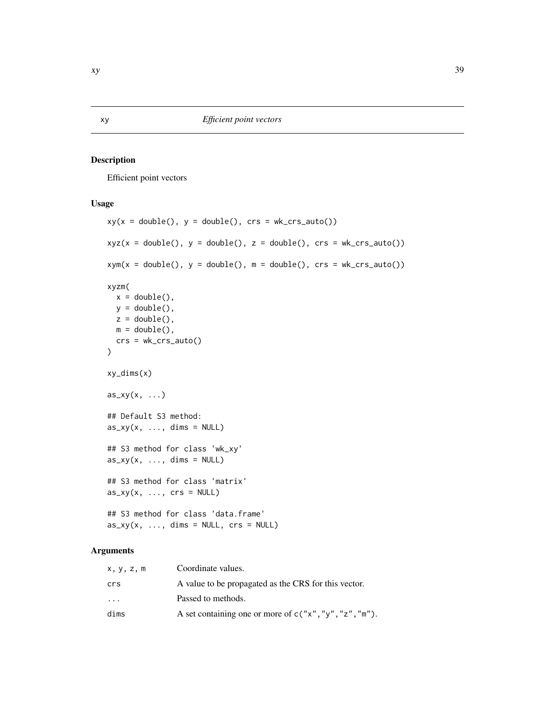<span id="page-38-2"></span><span id="page-38-1"></span><span id="page-38-0"></span>Efficient point vectors

#### Usage

```
xy(x = double(), y = double(), crs = wk_crs_auto())xyz(x = double(), y = double(), z = double(), crs = wk_crs_auto())xym(x = double(), y = double(), m = double(), crs = wk_crs_auto())xyzm(
  x = double(),y = double(),z = double(),m = double(),crs = wk_crs_auto()\lambdaxy_dims(x)
as_{xy}(x, \ldots)## Default S3 method:
as_{xy}(x, \ldots, \text{dims} = \text{NULL})## S3 method for class 'wk_xy'
as_{xy}(x, \ldots, \text{dims} = \text{NULL})## S3 method for class 'matrix'
as_{xy}(x, \ldots, \text{crs} = \text{NULL})## S3 method for class 'data.frame'
as_{xy}(x, \ldots, \text{dims} = \text{NULL}, \text{crs} = \text{NULL})
```

| x, y, z, m              | Coordinate values.                                       |
|-------------------------|----------------------------------------------------------|
| crs                     | A value to be propagated as the CRS for this vector.     |
| $\cdot$ $\cdot$ $\cdot$ | Passed to methods.                                       |
| dims                    | A set containing one or more of $c("x", "y", "z", "m").$ |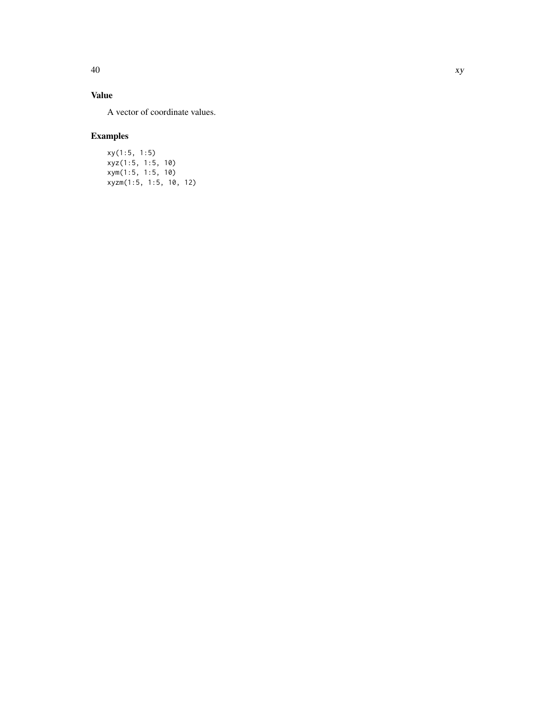# Value

A vector of coordinate values.

# Examples

xy(1:5, 1:5) xyz(1:5, 1:5, 10) xym(1:5, 1:5, 10) xyzm(1:5, 1:5, 10, 12)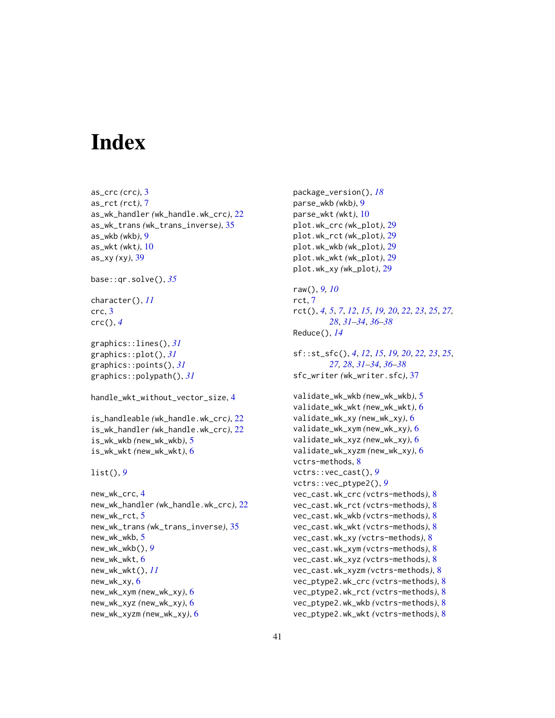# <span id="page-40-0"></span>**Index**

```
as_crc (crc), 3
as_rct (rct), 7
as_wk_handler (wk_handle.wk_crc), 22
as_wk_trans (wk_trans_inverse), 35
as_wkb (wkb), 9
as_wkt (wkt), 10
as_xy (xy), 39
base::qr.solve(), 35
character(), 11
crc, 3
crc(), 4
graphics::lines(), 31
graphics::plot(), 31
graphics::points(), 31
graphics::polypath(), 31
handle_wkt_without_vector_size, 4
is_handleable (wk_handle.wk_crc), 22
is_wk_handler (wk_handle.wk_crc), 22
is_wk_wkb (new_wk_wkb), 5
is_wk_wkt (new_wk_wkt), 6
list(), 9
new_wk_crc, 4
new_wk_handler (wk_handle.wk_crc), 22
new_wk_rct, 5
new_wk_trans (wk_trans_inverse), 35
new_wk_wkb, 5
new_wk_wkb(), 9
new_wk_wkt, 6
new_wk_wkt(), 11
new_wk_xy, 6
new_wk_xym (new_wk_xy), 6
new_wk_xyz (new_wk_xy), 6
```
new\_wk\_xyzm *(*new\_wk\_xy*)*, [6](#page-5-0)

```
package_version(), 18
parse_wkb (wkb), 9
parse_wkt (wkt), 10
plot.wk_crc (wk_plot), 29
plot.wk_rct (wk_plot), 29
plot.wk_wkb (wk_plot), 29
plot.wk_wkt (wk_plot), 29
plot.wk_xy (wk_plot), 29
raw(), 9, 10
rct, 7
rct(), 4, 5, 7, 12, 15, 19, 20, 22, 23, 25, 27,
        28, 31–34, 36–38
Reduce(), 14
sf::st_sfc(), 4, 12, 15, 19, 20, 22, 23, 25,
         27, 28, 31–34, 36–38
sfc_writer (wk_writer.sfc), 37
validate_wk_wkb (new_wk_wkb), 5
validate_wk_wkt (new_wk_wkt), 6
validate_wk_xy (new_wk_xy), 6
validate_wk_xym (new_wk_xy), 6
validate_wk_xyz (new_wk_xy), 6
validate_wk_xyzm (new_wk_xy), 6
vctrs-methods, 8
vctrs::vec_cast(), 9
vctrs::vec_ptype2(), 9
vec_cast.wk_crc (vctrs-methods), 8
vec_cast.wk_rct (vctrs-methods), 8
vec_cast.wk_wkb (vctrs-methods), 8
vec_cast.wk_wkt (vctrs-methods), 8
vec_cast.wk_xy (vctrs-methods), 8
vec_cast.wk_xym (vctrs-methods), 8
vec_cast.wk_xyz (vctrs-methods), 8
vec_cast.wk_xyzm (vctrs-methods), 8
vec_ptype2.wk_crc (vctrs-methods), 8
vec_ptype2.wk_rct (vctrs-methods), 8
vec_ptype2.wk_wkb (vctrs-methods), 8
vec_ptype2.wk_wkt (vctrs-methods), 8
```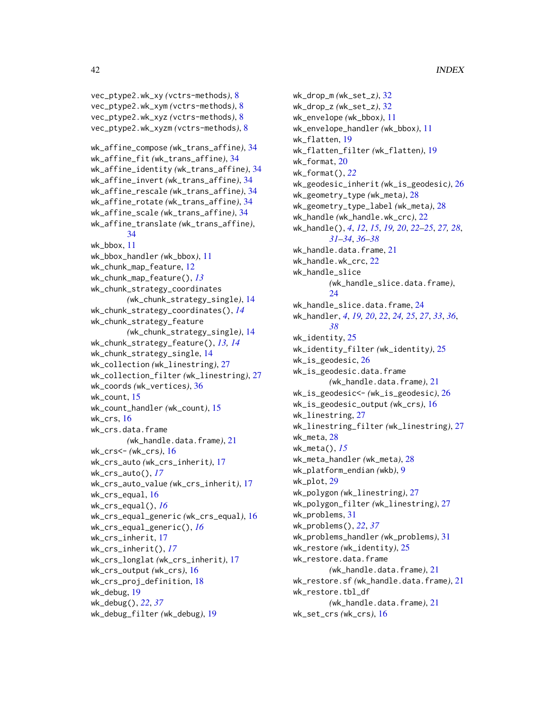vec\_ptype2.wk\_xy *(*vctrs-methods*)*, [8](#page-7-0) vec\_ptype2.wk\_xym *(*vctrs-methods*)*, [8](#page-7-0) vec\_ptype2.wk\_xyz *(*vctrs-methods*)*, [8](#page-7-0) vec\_ptype2.wk\_xyzm *(*vctrs-methods*)*, [8](#page-7-0) wk\_affine\_compose *(*wk\_trans\_affine*)*, [34](#page-33-0) wk\_affine\_fit *(*wk\_trans\_affine*)*, [34](#page-33-0) wk\_affine\_identity *(*wk\_trans\_affine*)*, [34](#page-33-0) wk\_affine\_invert *(*wk\_trans\_affine*)*, [34](#page-33-0) wk\_affine\_rescale *(*wk\_trans\_affine*)*, [34](#page-33-0) wk\_affine\_rotate *(*wk\_trans\_affine*)*, [34](#page-33-0) wk\_affine\_scale *(*wk\_trans\_affine*)*, [34](#page-33-0) wk\_affine\_translate *(*wk\_trans\_affine*)*, [34](#page-33-0) wk\_bbox, [11](#page-10-0) wk\_bbox\_handler *(*wk\_bbox*)*, [11](#page-10-0) wk\_chunk\_map\_feature, [12](#page-11-0) wk\_chunk\_map\_feature(), *[13](#page-12-0)* wk\_chunk\_strategy\_coordinates *(*wk\_chunk\_strategy\_single*)*, [14](#page-13-0) wk\_chunk\_strategy\_coordinates(), *[14](#page-13-0)* wk\_chunk\_strategy\_feature *(*wk\_chunk\_strategy\_single*)*, [14](#page-13-0) wk\_chunk\_strategy\_feature(), *[13,](#page-12-0) [14](#page-13-0)* wk\_chunk\_strategy\_single, [14](#page-13-0) wk\_collection *(*wk\_linestring*)*, [27](#page-26-0) wk\_collection\_filter *(*wk\_linestring*)*, [27](#page-26-0) wk\_coords *(*wk\_vertices*)*, [36](#page-35-0) wk\_count, [15](#page-14-0) wk\_count\_handler *(*wk\_count*)*, [15](#page-14-0) wk\_crs, [16](#page-15-0) wk\_crs.data.frame *(*wk\_handle.data.frame*)*, [21](#page-20-0) wk\_crs<- *(*wk\_crs*)*, [16](#page-15-0) wk\_crs\_auto *(*wk\_crs\_inherit*)*, [17](#page-16-0) wk\_crs\_auto(), *[17](#page-16-0)* wk\_crs\_auto\_value *(*wk\_crs\_inherit*)*, [17](#page-16-0) wk\_crs\_equal, [16](#page-15-0) wk\_crs\_equal(), *[16](#page-15-0)* wk\_crs\_equal\_generic *(*wk\_crs\_equal*)*, [16](#page-15-0) wk\_crs\_equal\_generic(), *[16](#page-15-0)* wk\_crs\_inherit, [17](#page-16-0) wk\_crs\_inherit(), *[17](#page-16-0)* wk\_crs\_longlat *(*wk\_crs\_inherit*)*, [17](#page-16-0) wk\_crs\_output *(*wk\_crs*)*, [16](#page-15-0) wk\_crs\_proj\_definition, [18](#page-17-0) wk\_debug, [19](#page-18-0) wk\_debug(), *[22](#page-21-0)*, *[37](#page-36-0)* wk\_debug\_filter *(*wk\_debug*)*, [19](#page-18-0)

wk\_drop\_m *(*wk\_set\_z*)*, [32](#page-31-0) wk\_drop\_z *(*wk\_set\_z*)*, [32](#page-31-0) wk\_envelope *(*wk\_bbox*)*, [11](#page-10-0) wk\_envelope\_handler *(*wk\_bbox*)*, [11](#page-10-0) wk\_flatten, [19](#page-18-0) wk\_flatten\_filter *(*wk\_flatten*)*, [19](#page-18-0) wk\_format, [20](#page-19-0) wk\_format(), *[22](#page-21-0)* wk\_geodesic\_inherit *(*wk\_is\_geodesic*)*, [26](#page-25-0) wk\_geometry\_type *(*wk\_meta*)*, [28](#page-27-0) wk\_geometry\_type\_label *(*wk\_meta*)*, [28](#page-27-0) wk\_handle *(*wk\_handle.wk\_crc*)*, [22](#page-21-0) wk\_handle(), *[4](#page-3-0)*, *[12](#page-11-0)*, *[15](#page-14-0)*, *[19,](#page-18-0) [20](#page-19-0)*, *[22](#page-21-0)[–25](#page-24-0)*, *[27,](#page-26-0) [28](#page-27-0)*, *[31](#page-30-0)[–34](#page-33-0)*, *[36](#page-35-0)[–38](#page-37-0)* wk\_handle.data.frame, [21](#page-20-0) wk\_handle.wk\_crc, [22](#page-21-0) wk\_handle\_slice *(*wk\_handle\_slice.data.frame*)*, [24](#page-23-0) wk\_handle\_slice.data.frame, [24](#page-23-0) wk\_handler, *[4](#page-3-0)*, *[19,](#page-18-0) [20](#page-19-0)*, *[22](#page-21-0)*, *[24,](#page-23-0) [25](#page-24-0)*, *[27](#page-26-0)*, *[33](#page-32-0)*, *[36](#page-35-0)*, *[38](#page-37-0)* wk\_identity, [25](#page-24-0) wk\_identity\_filter *(*wk\_identity*)*, [25](#page-24-0) wk\_is\_geodesic, [26](#page-25-0) wk\_is\_geodesic.data.frame *(*wk\_handle.data.frame*)*, [21](#page-20-0) wk\_is\_geodesic<- *(*wk\_is\_geodesic*)*, [26](#page-25-0) wk\_is\_geodesic\_output *(*wk\_crs*)*, [16](#page-15-0) wk\_linestring, [27](#page-26-0) wk\_linestring\_filter *(*wk\_linestring*)*, [27](#page-26-0) wk\_meta, [28](#page-27-0) wk\_meta(), *[15](#page-14-0)* wk\_meta\_handler *(*wk\_meta*)*, [28](#page-27-0) wk\_platform\_endian *(*wkb*)*, [9](#page-8-0) wk\_plot, [29](#page-28-0) wk\_polygon *(*wk\_linestring*)*, [27](#page-26-0) wk\_polygon\_filter *(*wk\_linestring*)*, [27](#page-26-0) wk\_problems, [31](#page-30-0) wk\_problems(), *[22](#page-21-0)*, *[37](#page-36-0)* wk\_problems\_handler *(*wk\_problems*)*, [31](#page-30-0) wk\_restore *(*wk\_identity*)*, [25](#page-24-0) wk\_restore.data.frame *(*wk\_handle.data.frame*)*, [21](#page-20-0) wk\_restore.sf *(*wk\_handle.data.frame*)*, [21](#page-20-0) wk\_restore.tbl\_df *(*wk\_handle.data.frame*)*, [21](#page-20-0) wk\_set\_crs *(*wk\_crs*)*, [16](#page-15-0)